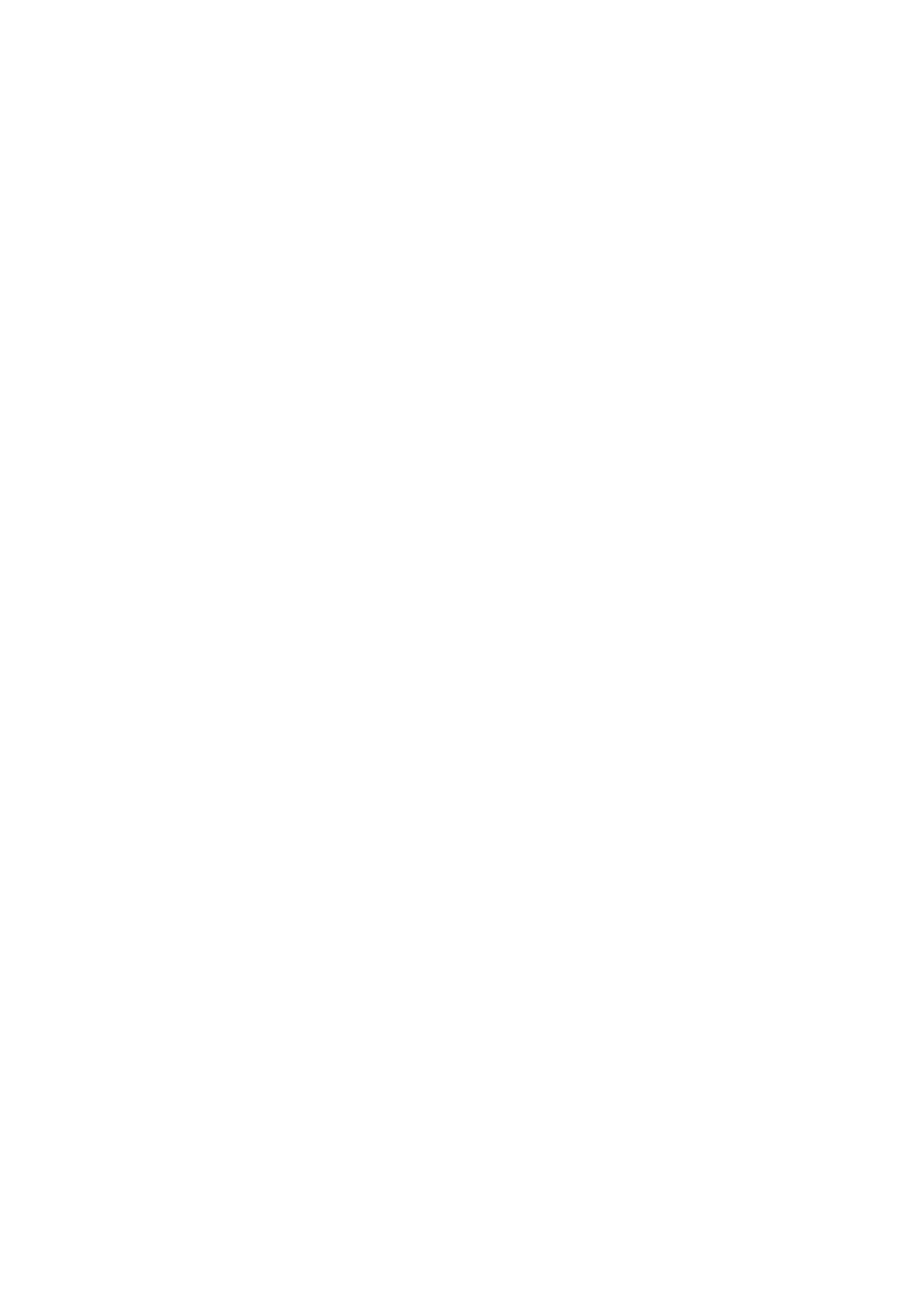NS190Paper

# Optical Tweezers

# in Biophysics Studies

Xu Yang S2481022 Supervisor: Antoine M. van Oijen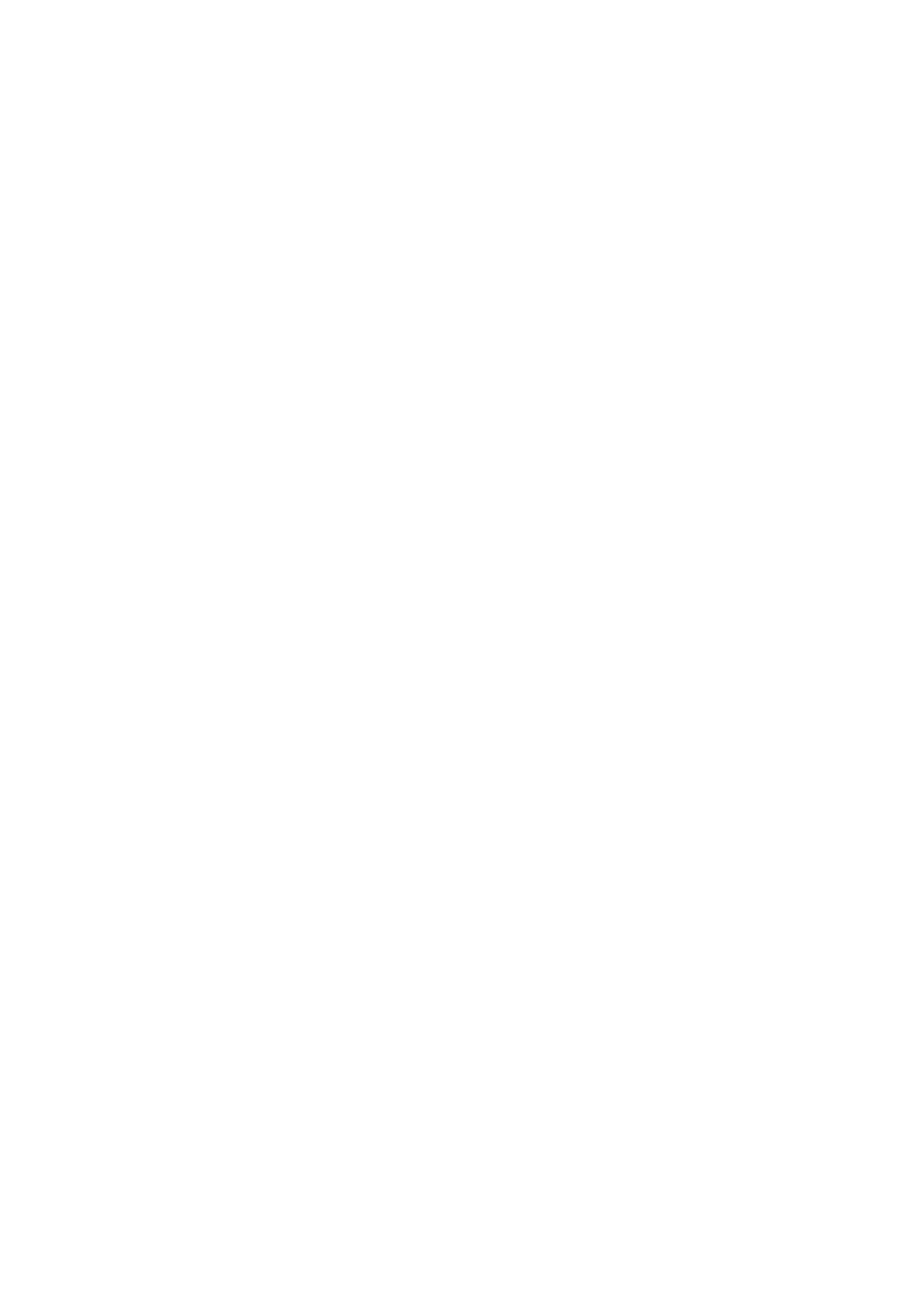# **CONTENTS**

| Stretching and unzipping DNA with traditional optical tweezers13     |  |
|----------------------------------------------------------------------|--|
|                                                                      |  |
|                                                                      |  |
| Quadtrap optical tweezers and condensation of bacterial chromosome16 |  |
|                                                                      |  |
|                                                                      |  |
|                                                                      |  |
|                                                                      |  |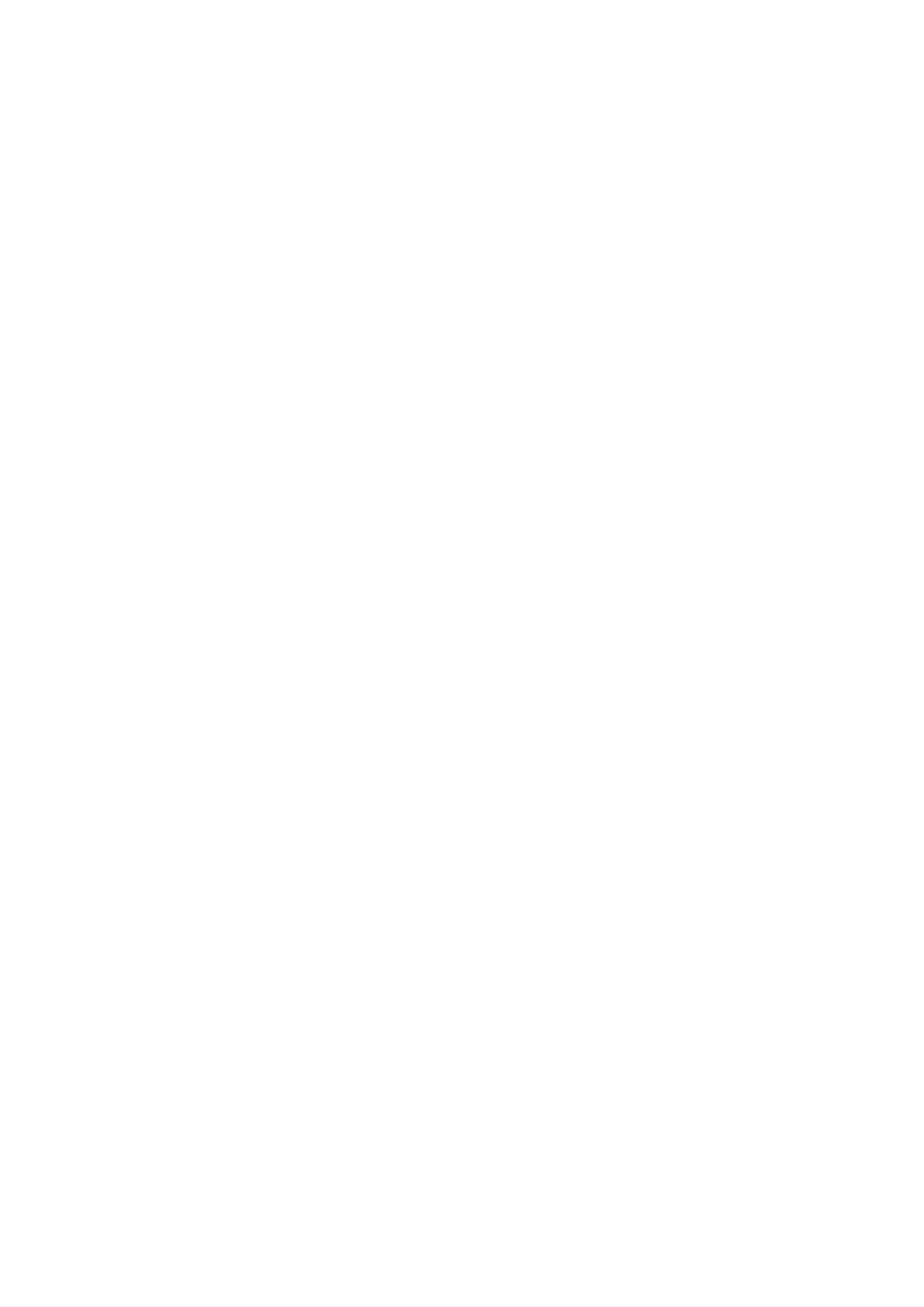# **ABSTRACT**

<span id="page-2-0"></span>Optical tweezers, or optical trapping, was ented in the 1970s by Ashkin at [1]. It has now become a powerful tod for single molecular studies. During its years of development, people have achieved very ising tail and temporal esolution and have developedvarious novel approaches intis applications in biology prophysics This paper gives a review of the principles soptical tweezers and some examples of how it can beused inbiology, or biophysicsfield. A discussion of its perspective in future studies is also included to show the potential of this promising technique.

# <span id="page-2-1"></span>INTRODUCTION

Arthur Ashkin first demonsated the capability of optical forcesto stably holdand slightly movemicron-sized dieletric particles in water and airl, and later he developed thenglebeam gradient force optical trap, or a approximation as optical tweezers<sup>[2]</sup>. Since its invention, Ashkin and his colleagues did various experiments with this technicule we ptical tweezers still plays an important role in both biology and physics studies widely adopted n single molecular studies for its capability to apply ico-Newton-level forces to micronsized dielectric particles and to measure angstrdevel displacementwith millisecondlevel temporal resolution [3]. Both its theoretical background and eximental applications are popular research topics and many researches are involved in for a better understanding and use of it. However, some factors such as the resolution was and still remains restrictions which need to be broken.

The purpose of this aper is to give a review of the theoretical background and newly developed techniques based on optical tweezers, illustratesome interesting examples of applications in biophysics.

In the first part the basic principles of optical weezers will be introduced, followed by a discussion of how the resolution is restricted and how can it be improved. The third part deals with how a real setup is assembled and how people do measurements with it. Afteathat is general introduction of hownovel approaches derivefrom combining optical tweezers with other popular methods or specific purposes. Then a big part the paper will give detailed examples of how optical tweezers were used in real studies and how it helped. In the end some further discusions and scientific perspectives are included.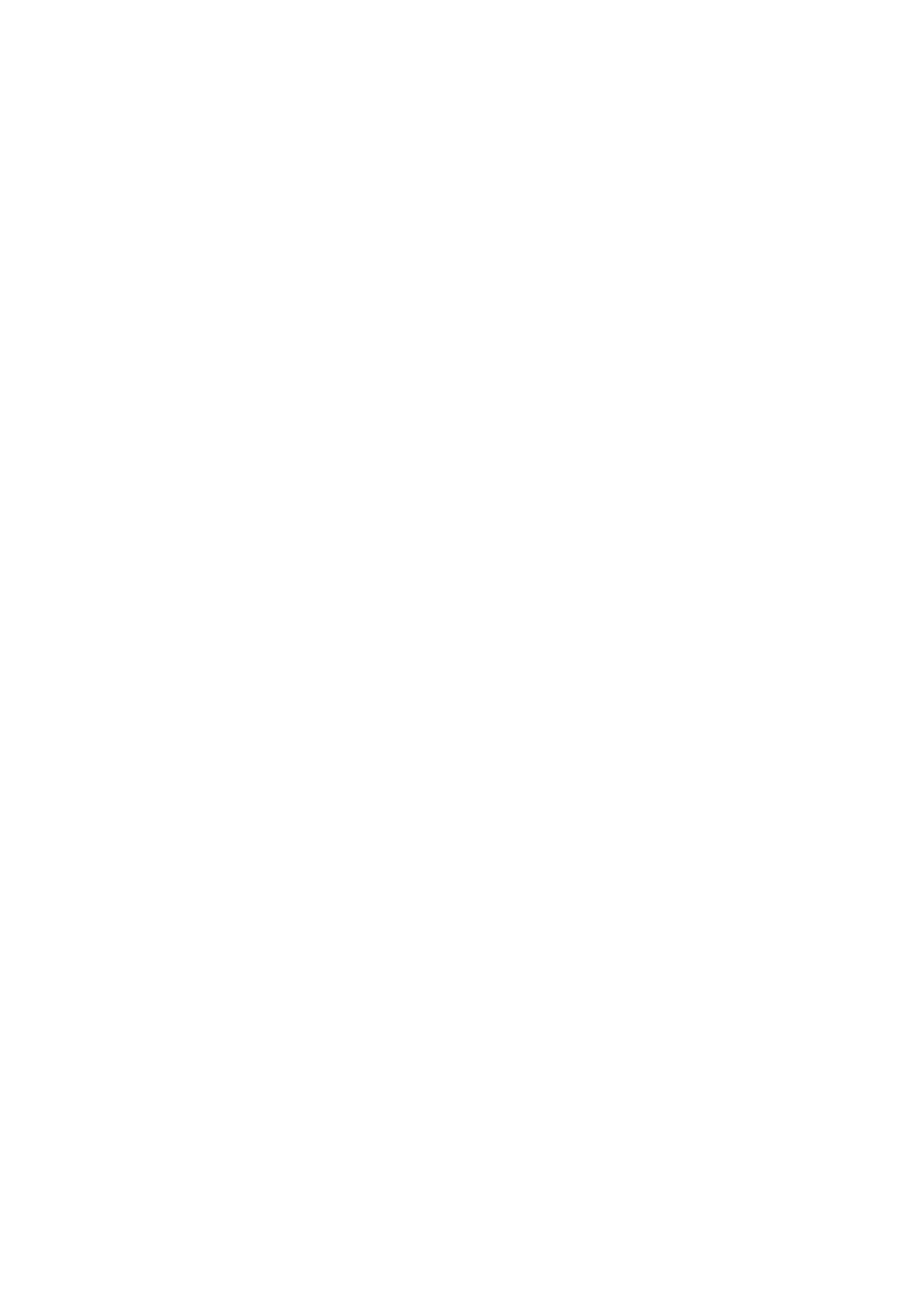# <span id="page-3-0"></span>PRINCIPLES

#### <span id="page-3-1"></span>Theoretical background

The physical principles behind the optical tweezers are actually quite simplieizes an objective lens with high umerical aperture (NAdefined as  $0 \# L$  J  $\cdot \cdot \cdot$  à where J is the refractive index of the medium and is the half angle of the maximum cone of light that can enter or exit the objective to focus a laser beam into a very small diameter (half wavelength) The scattering of the photoristic. reflecting and refacting of light) will transfer the momentum to any dielectric particle at the foc(Figure 1a). Therefore the particle will experience optical forces. This optical forces can be categorized into two components and forces, which push particle in the light propagation direction and gradient forces, which pull articles in the spatial light gadient direction When gradient optical forces is larger than the scattering forces, the particlewill be pulled over to the bous point and can stay stably at that position (Figure 1b) [2]. In practice a neainfrared laser beam insed (will be explained later) he high NA microscope objective ensity helpsto create the large spatial gradient in light intensity that a stable trap can be formed. As a result, the trapped particle will be located slightly beam of the focus. The optical trap behaves like a Hookean spring at the central area, i.e. the restoring force is linearly proportional to the offset from the equilibrium position small displacements  $(-150 \text{ nm})$ . And the stiffness of such a spring is determined by the light interistive

<span id="page-3-2"></span>Figure 1. Schematic of optical momentum and force in an optical trapping system of manum change when light is refracted or in other words, photons are inelastically scattered the trapped particleThe incident photons have momentum, and the scattered photons have momentum P represents the change of momentum caused by the VFDWWHULQJ \$FFRUGLQJWR1HZWRQ¶VODZDVDPHPRPHQWXPFKDC the particle. (b) Optical forces in an optical trap. Scattering for  $\epsilon_{\text{sat}}$  is in the laser propagation direction, gradient force  $F_{\text{grad}}$  is in the inensity gradient direction, giving a total for  $F_{\text{det}}$  pulling the trapped particle to the beam center. Picturesare from internet.

To estimate the force on a sphere two limiting cases need to be consider redize of the trapped particle is much larger than the wavelength of the trapping laser, the optical trapping system is in a regime of Mie scattering. It is not difficult to obtain the optical forces in this regimefrom simple ray optic $\sharp 4$ ]: the momentum of the incident light will be transferred to the trapped particle, and the value of this momentum can be estimated from the refraction of the laser. The direction of the optical force depends on the relative value of the indexes of nefractio of the particle and the surrounding medium,  $J_{ij}$  $\delta_{\hat{a}c}$   $\bar{v}$   $\delta_{\hat{b}}$  a  $\sigma_{\hat{b}}$   $\bar{v}$  a  $j$  a  $j$  are force will be in the same direction as the intensity gradient, and vice  $\nu \overline{\text{d}}$  the scattering of light by the trapped particle, both elastic and inelastic (specular region and absorption of light) gives rise to the scattering forces. One thing to note is that the trapping efficiency can be improved if the cross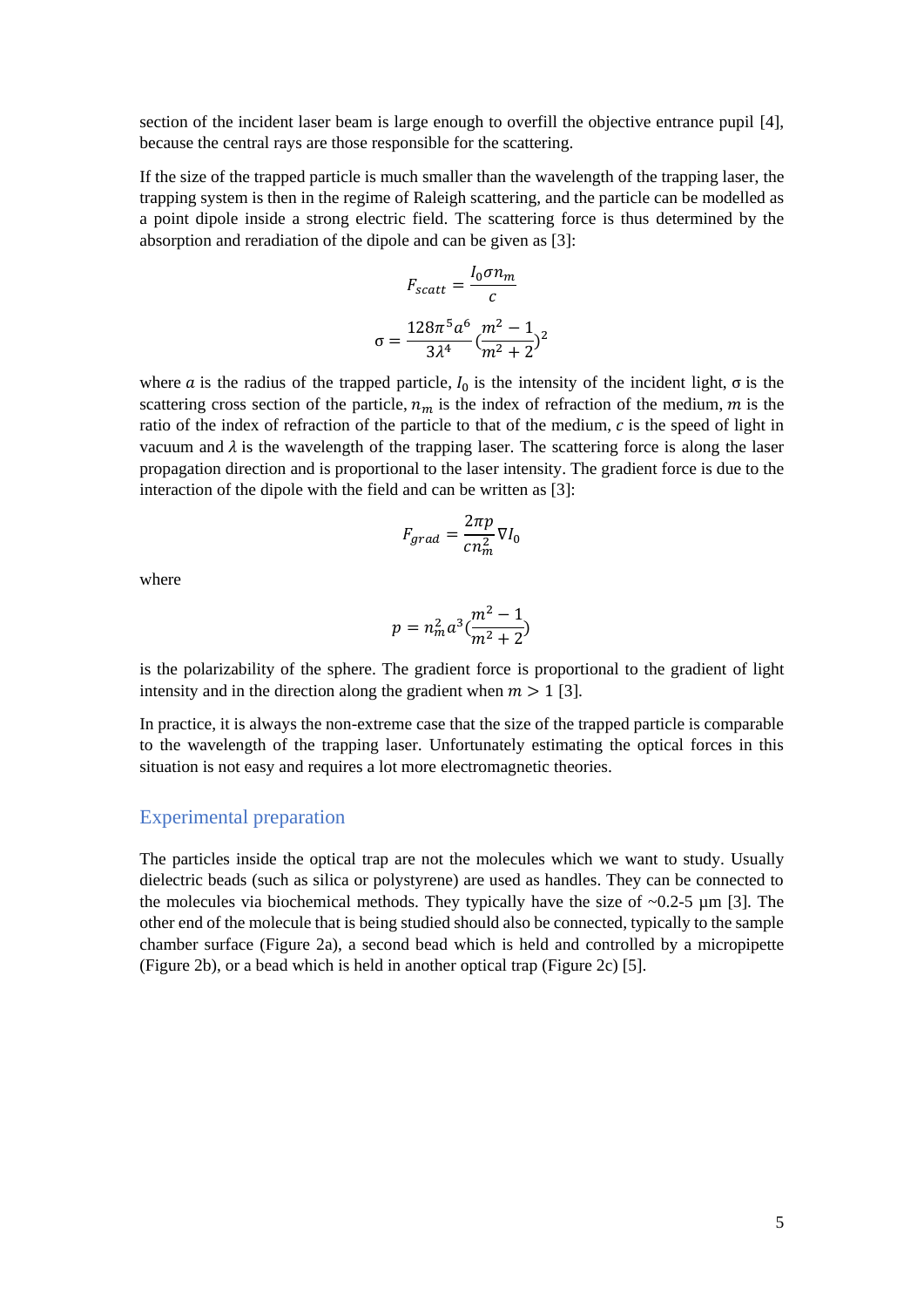section of the incident laser beam is large enough to overfill the objective entrance pupil [4], because the central rays are those responsible for the scattering.

If the size of the trapped particle is much smaller than the wavelength of the trapping laser, the trapping system is then in the regime of Raleigh scattering, and the particle can be modelled as a point dipole inside a strong electric field. The scattering force is thus determined by the absorption and reradiation of the dipole and can be given as [3]:

$$
F_{scatt} = \frac{I_0 \sigma n_m}{c}
$$

$$
\sigma = \frac{128\pi^5 a^6}{3\lambda^4} \left(\frac{m^2 - 1}{m^2 + 2}\right)^2
$$

where *a* is the radius of the trapped particle,  $I_0$  is the intensity of the incident light,  $\sigma$  is the scattering cross section of the particle,  $n_m$  is the index of refraction of the medium, m is the ratio of the index of refraction of the particle to that of the medium,  $c$  is the speed of light in vacuum and  $\lambda$  is the wavelength of the trapping laser. The scattering force is along the laser propagation direction and is proportional to the laser intensity. The gradient force is due to the interaction of the dipole with the field and can be written as [3]:

$$
F_{grad} = \frac{2\pi p}{cn_m^2}\nabla I_0
$$

where

$$
p = n_m^2 a^3 \left(\frac{m^2 - 1}{m^2 + 2}\right)
$$

is the polarizability of the sphere. The gradient force is proportional to the gradient of light intensity and in the direction along the gradient when  $m > 1$  [3].

In practice, it is always the non-extreme case that the size of the trapped particle is comparable to the wavelength of the trapping laser. Unfortunately estimating the optical forces in this situation is not easy and requires a lot more electromagnetic theories.

#### <span id="page-4-0"></span>Experimental preparation

The particles inside the optical trap are not the molecules which we want to study. Usually dielectric beads (such as silica or polystyrene) are used as handles. They can be connected to the molecules via biochemical methods. They typically have the size of  $\sim 0.2-5$  µm [3]. The other end of the molecule that is being studied should also be connected, typically to the sample chamber surface [\(Figure 2a](#page-5-1)), a second bead which is held and controlled by a micropipette [\(Figure 2b](#page-5-1)), or a bead which is held in another optical trap [\(Figure 2c](#page-5-1)) [5].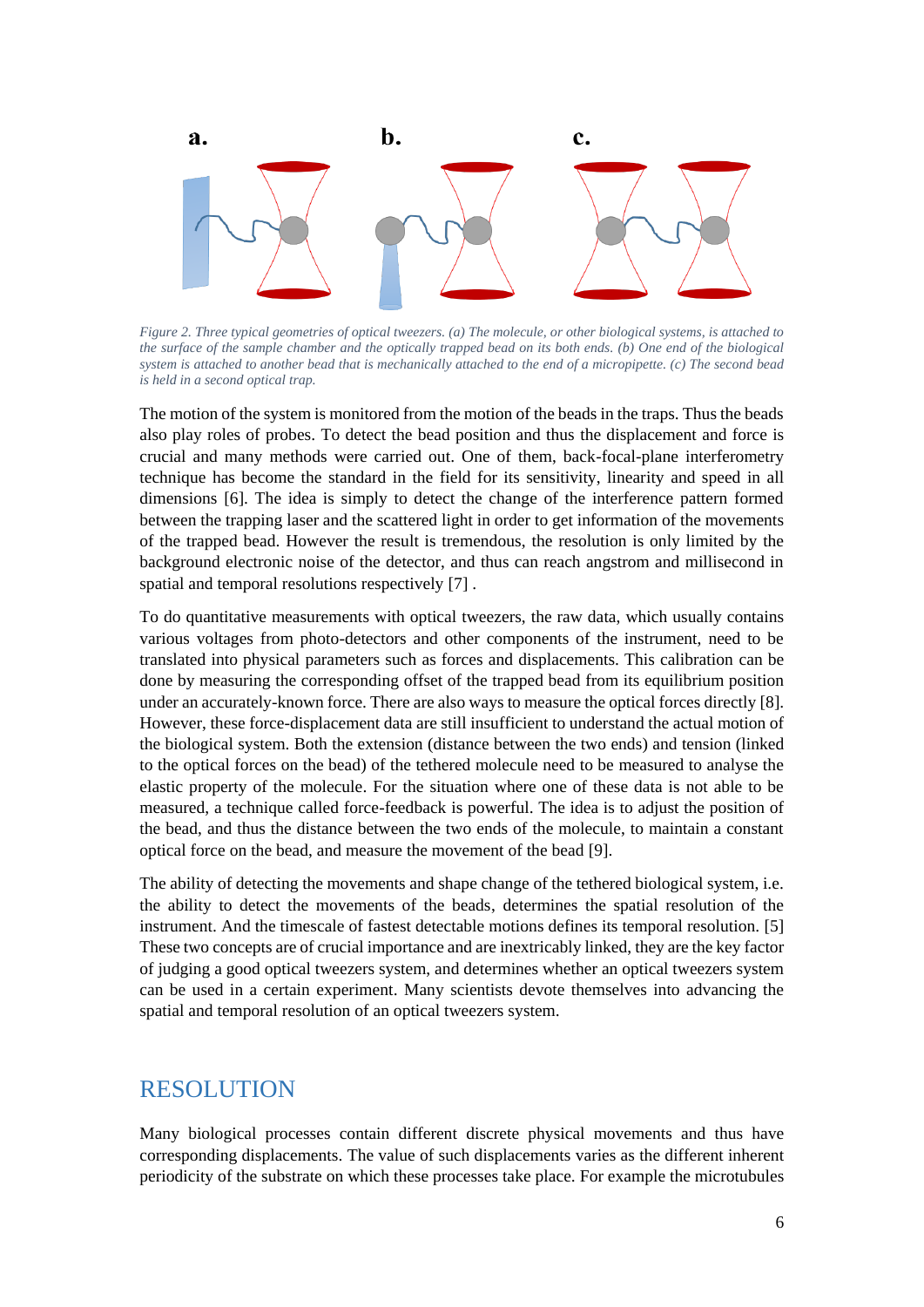

<span id="page-5-1"></span>*Figure 2. Three typical geometries of optical tweezers. (a) The molecule, or other biological systems, is attached to the surface of the sample chamber and the optically trapped bead on its both ends. (b) One end of the biological system is attached to another bead that is mechanically attached to the end of a micropipette. (c) The second bead is held in a second optical trap.*

The motion of the system is monitored from the motion of the beads in the traps. Thus the beads also play roles of probes. To detect the bead position and thus the displacement and force is crucial and many methods were carried out. One of them, back-focal-plane interferometry technique has become the standard in the field for its sensitivity, linearity and speed in all dimensions [6]. The idea is simply to detect the change of the interference pattern formed between the trapping laser and the scattered light in order to get information of the movements of the trapped bead. However the result is tremendous, the resolution is only limited by the background electronic noise of the detector, and thus can reach angstrom and millisecond in spatial and temporal resolutions respectively [7] .

To do quantitative measurements with optical tweezers, the raw data, which usually contains various voltages from photo-detectors and other components of the instrument, need to be translated into physical parameters such as forces and displacements. This calibration can be done by measuring the corresponding offset of the trapped bead from its equilibrium position under an accurately-known force. There are also ways to measure the optical forces directly [8]. However, these force-displacement data are still insufficient to understand the actual motion of the biological system. Both the extension (distance between the two ends) and tension (linked to the optical forces on the bead) of the tethered molecule need to be measured to analyse the elastic property of the molecule. For the situation where one of these data is not able to be measured, a technique called force-feedback is powerful. The idea is to adjust the position of the bead, and thus the distance between the two ends of the molecule, to maintain a constant optical force on the bead, and measure the movement of the bead [9].

The ability of detecting the movements and shape change of the tethered biological system, i.e. the ability to detect the movements of the beads, determines the spatial resolution of the instrument. And the timescale of fastest detectable motions defines its temporal resolution. [5] These two concepts are of crucial importance and are inextricably linked, they are the key factor of judging a good optical tweezers system, and determines whether an optical tweezers system can be used in a certain experiment. Many scientists devote themselves into advancing the spatial and temporal resolution of an optical tweezers system.

### <span id="page-5-0"></span>RESOLUTION

Many biological processes contain different discrete physical movements and thus have corresponding displacements. The value of such displacements varies as the different inherent periodicity of the substrate on which these processes take place. For example the microtubules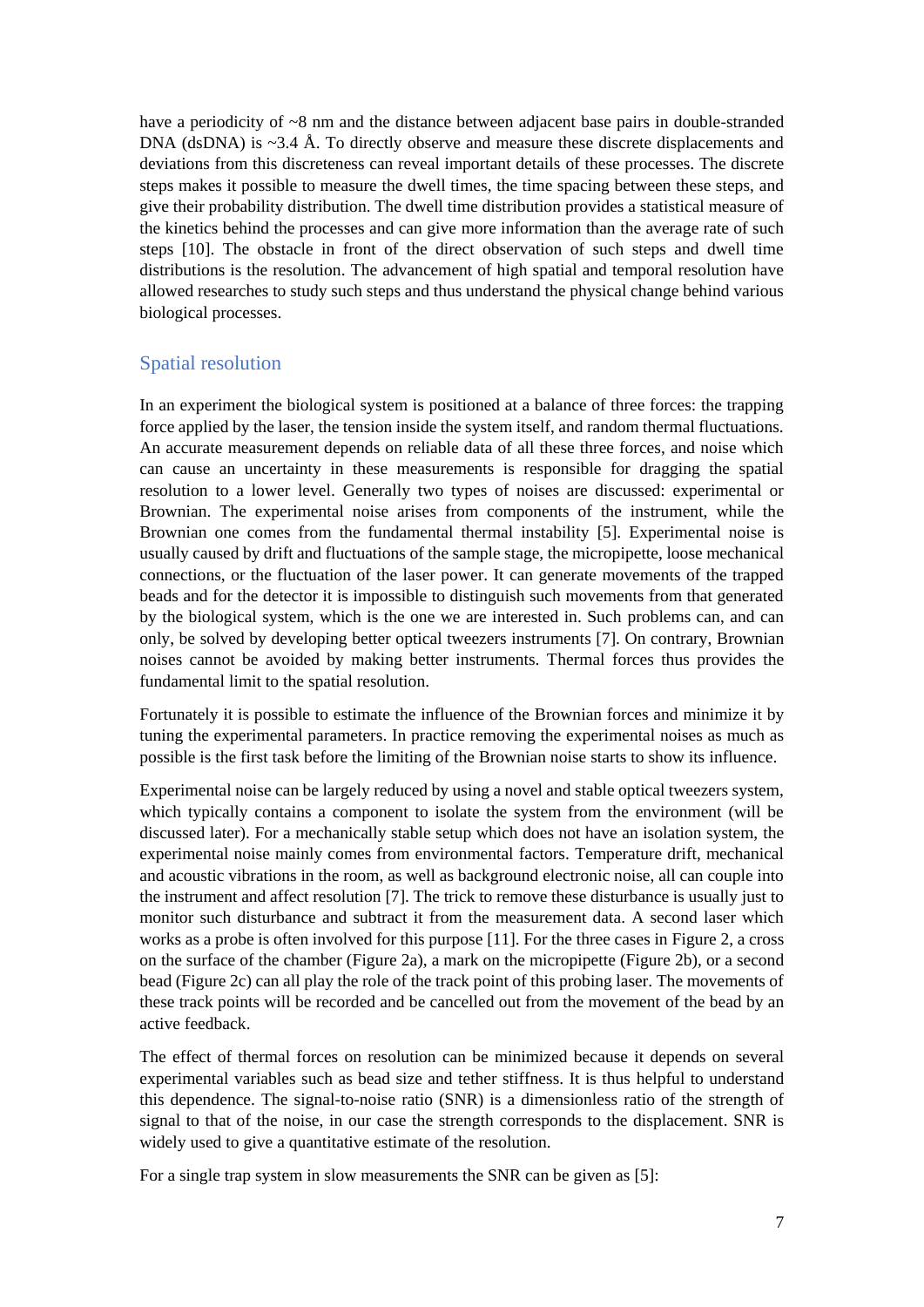have a periodicity of ~8 nm and the distance between adjacent base pairs in double-stranded DNA (dsDNA) is ~3.4 Å. To directly observe and measure these discrete displacements and deviations from this discreteness can reveal important details of these processes. The discrete steps makes it possible to measure the dwell times, the time spacing between these steps, and give their probability distribution. The dwell time distribution provides a statistical measure of the kinetics behind the processes and can give more information than the average rate of such steps [10]. The obstacle in front of the direct observation of such steps and dwell time distributions is the resolution. The advancement of high spatial and temporal resolution have allowed researches to study such steps and thus understand the physical change behind various biological processes.

#### <span id="page-6-0"></span>Spatial resolution

In an experiment the biological system is positioned at a balance of three forces: the trapping force applied by the laser, the tension inside the system itself, and random thermal fluctuations. An accurate measurement depends on reliable data of all these three forces, and noise which can cause an uncertainty in these measurements is responsible for dragging the spatial resolution to a lower level. Generally two types of noises are discussed: experimental or Brownian. The experimental noise arises from components of the instrument, while the Brownian one comes from the fundamental thermal instability [5]. Experimental noise is usually caused by drift and fluctuations of the sample stage, the micropipette, loose mechanical connections, or the fluctuation of the laser power. It can generate movements of the trapped beads and for the detector it is impossible to distinguish such movements from that generated by the biological system, which is the one we are interested in. Such problems can, and can only, be solved by developing better optical tweezers instruments [7]. On contrary, Brownian noises cannot be avoided by making better instruments. Thermal forces thus provides the fundamental limit to the spatial resolution.

Fortunately it is possible to estimate the influence of the Brownian forces and minimize it by tuning the experimental parameters. In practice removing the experimental noises as much as possible is the first task before the limiting of the Brownian noise starts to show its influence.

Experimental noise can be largely reduced by using a novel and stable optical tweezers system, which typically contains a component to isolate the system from the environment (will be discussed later). For a mechanically stable setup which does not have an isolation system, the experimental noise mainly comes from environmental factors. Temperature drift, mechanical and acoustic vibrations in the room, as well as background electronic noise, all can couple into the instrument and affect resolution [7]. The trick to remove these disturbance is usually just to monitor such disturbance and subtract it from the measurement data. A second laser which works as a probe is often involved for this purpose [11]. For the three cases in [Figure 2,](#page-5-1) a cross on the surface of the chamber [\(Figure 2a](#page-5-1)), a mark on the micropipette [\(Figure 2b](#page-5-1)), or a second bead [\(Figure 2c](#page-5-1)) can all play the role of the track point of this probing laser. The movements of these track points will be recorded and be cancelled out from the movement of the bead by an active feedback.

The effect of thermal forces on resolution can be minimized because it depends on several experimental variables such as bead size and tether stiffness. It is thus helpful to understand this dependence. The signal-to-noise ratio (SNR) is a dimensionless ratio of the strength of signal to that of the noise, in our case the strength corresponds to the displacement. SNR is widely used to give a quantitative estimate of the resolution.

For a single trap system in slow measurements the SNR can be given as [5]: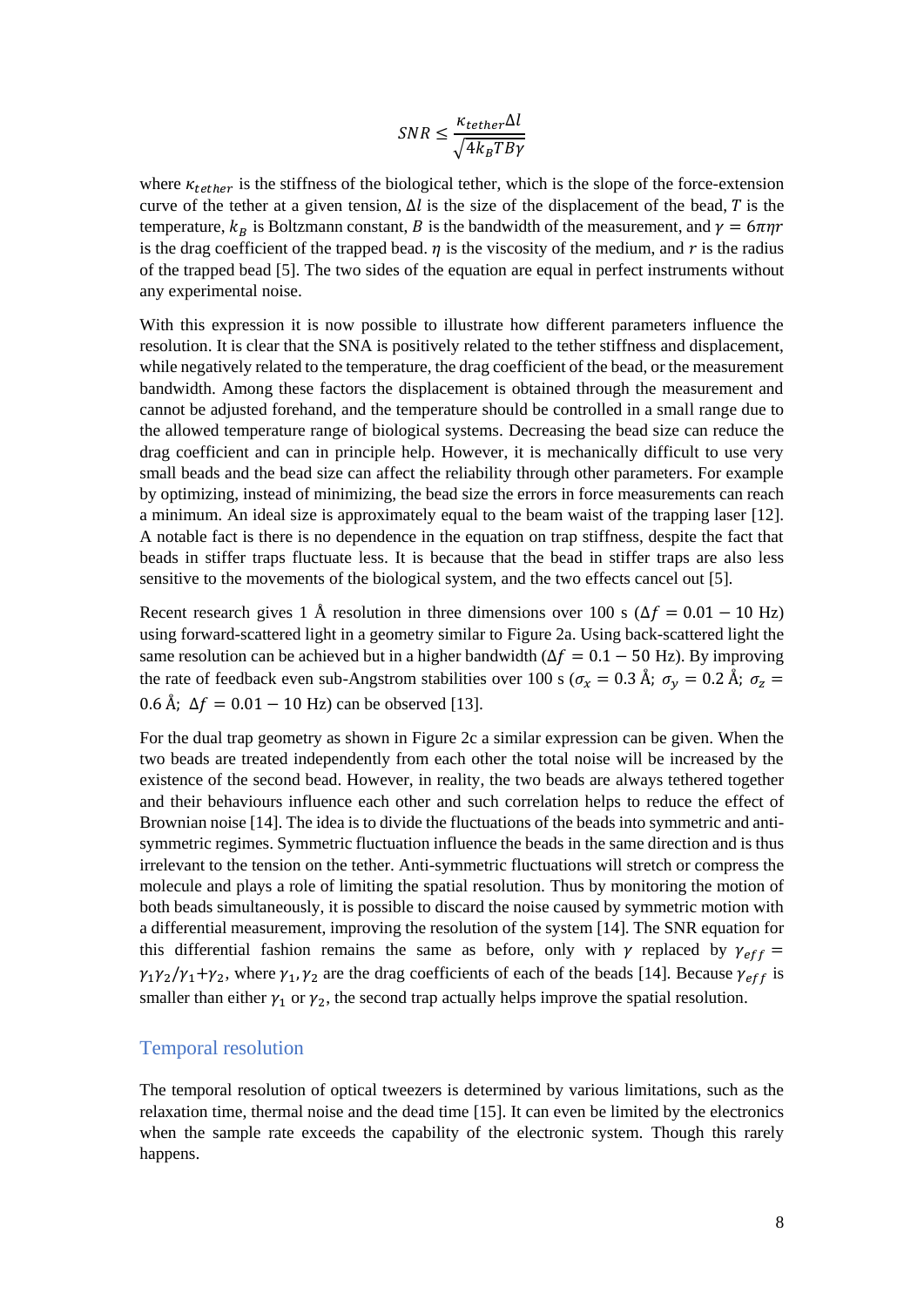$$
SNR \le \frac{\kappa_{tether} \Delta l}{\sqrt{4k_B T B \gamma}}
$$

where  $\kappa_{tether}$  is the stiffness of the biological tether, which is the slope of the force-extension curve of the tether at a given tension,  $\Delta l$  is the size of the displacement of the bead, T is the temperature,  $k_B$  is Boltzmann constant, B is the bandwidth of the measurement, and  $\gamma = 6\pi\eta r$ is the drag coefficient of the trapped bead.  $\eta$  is the viscosity of the medium, and  $r$  is the radius of the trapped bead [5]. The two sides of the equation are equal in perfect instruments without any experimental noise.

With this expression it is now possible to illustrate how different parameters influence the resolution. It is clear that the SNA is positively related to the tether stiffness and displacement, while negatively related to the temperature, the drag coefficient of the bead, or the measurement bandwidth. Among these factors the displacement is obtained through the measurement and cannot be adjusted forehand, and the temperature should be controlled in a small range due to the allowed temperature range of biological systems. Decreasing the bead size can reduce the drag coefficient and can in principle help. However, it is mechanically difficult to use very small beads and the bead size can affect the reliability through other parameters. For example by optimizing, instead of minimizing, the bead size the errors in force measurements can reach a minimum. An ideal size is approximately equal to the beam waist of the trapping laser [12]. A notable fact is there is no dependence in the equation on trap stiffness, despite the fact that beads in stiffer traps fluctuate less. It is because that the bead in stiffer traps are also less sensitive to the movements of the biological system, and the two effects cancel out [5].

Recent research gives 1 Å resolution in three dimensions over 100 s ( $\Delta f = 0.01 - 10$  Hz) using forward-scattered light in a geometry similar to [Figure 2a](#page-5-1). Using back-scattered light the same resolution can be achieved but in a higher bandwidth ( $\Delta f = 0.1 - 50$  Hz). By improving the rate of feedback even sub-Angstrom stabilities over 100 s ( $\sigma_x = 0.3 \text{ Å}$ ;  $\sigma_y = 0.2 \text{ Å}$ ;  $\sigma_z =$ 0.6 Å;  $\Delta f = 0.01 - 10$  Hz) can be observed [13].

For the dual trap geometry as shown in [Figure 2c](#page-5-1) a similar expression can be given. When the two beads are treated independently from each other the total noise will be increased by the existence of the second bead. However, in reality, the two beads are always tethered together and their behaviours influence each other and such correlation helps to reduce the effect of Brownian noise [14]. The idea is to divide the fluctuations of the beads into symmetric and antisymmetric regimes. Symmetric fluctuation influence the beads in the same direction and is thus irrelevant to the tension on the tether. Anti-symmetric fluctuations will stretch or compress the molecule and plays a role of limiting the spatial resolution. Thus by monitoring the motion of both beads simultaneously, it is possible to discard the noise caused by symmetric motion with a differential measurement, improving the resolution of the system [14]. The SNR equation for this differential fashion remains the same as before, only with  $\gamma$  replaced by  $\gamma_{eff}$  =  $\gamma_1 \gamma_2 / \gamma_1 + \gamma_2$ , where  $\gamma_1, \gamma_2$  are the drag coefficients of each of the beads [14]. Because  $\gamma_{eff}$  is smaller than either  $\gamma_1$  or  $\gamma_2$ , the second trap actually helps improve the spatial resolution.

#### <span id="page-7-0"></span>Temporal resolution

The temporal resolution of optical tweezers is determined by various limitations, such as the relaxation time, thermal noise and the dead time [15]. It can even be limited by the electronics when the sample rate exceeds the capability of the electronic system. Though this rarely happens.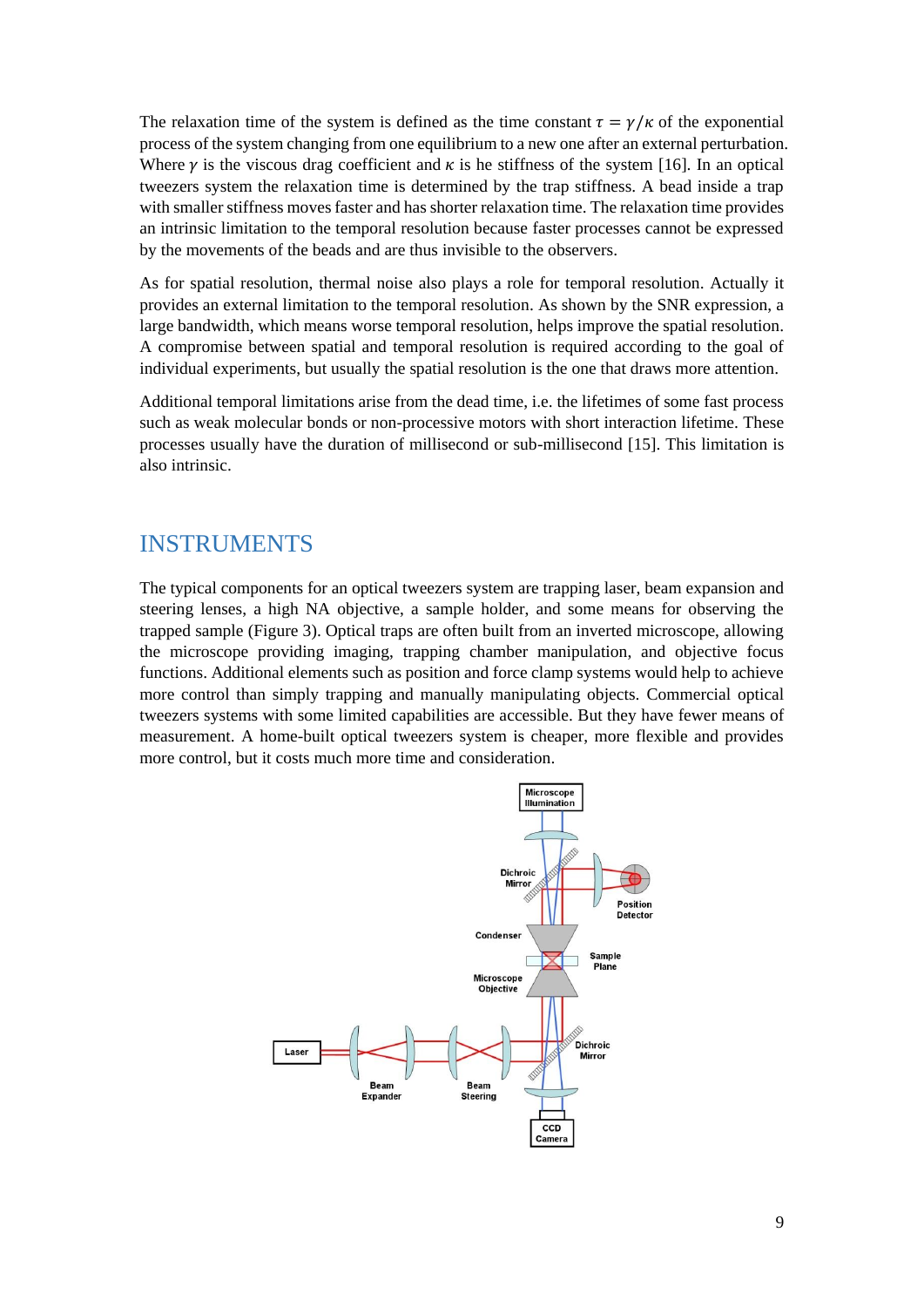The relaxation time of the system is defined as the time constant  $\tau = \gamma / \kappa$  of the exponential process of the system changing from one equilibrium to a new one after an external perturbation. Where  $\gamma$  is the viscous drag coefficient and  $\kappa$  is he stiffness of the system [16]. In an optical tweezers system the relaxation time is determined by the trap stiffness. A bead inside a trap with smaller stiffness moves faster and has shorter relaxation time. The relaxation time provides an intrinsic limitation to the temporal resolution because faster processes cannot be expressed by the movements of the beads and are thus invisible to the observers.

As for spatial resolution, thermal noise also plays a role for temporal resolution. Actually it provides an external limitation to the temporal resolution. As shown by the SNR expression, a large bandwidth, which means worse temporal resolution, helps improve the spatial resolution. A compromise between spatial and temporal resolution is required according to the goal of individual experiments, but usually the spatial resolution is the one that draws more attention.

Additional temporal limitations arise from the dead time, i.e. the lifetimes of some fast process such as weak molecular bonds or non-processive motors with short interaction lifetime. These processes usually have the duration of millisecond or sub-millisecond [15]. This limitation is also intrinsic.

#### <span id="page-8-0"></span>INSTRUMENTS

The typical components for an optical tweezers system are trapping laser, beam expansion and steering lenses, a high NA objective, a sample holder, and some means for observing the trapped sample [\(Figure 3\)](#page-9-2). Optical traps are often built from an inverted microscope, allowing the microscope providing imaging, trapping chamber manipulation, and objective focus functions. Additional elements such as position and force clamp systems would help to achieve more control than simply trapping and manually manipulating objects. Commercial optical tweezers systems with some limited capabilities are accessible. But they have fewer means of measurement. A home-built optical tweezers system is cheaper, more flexible and provides more control, but it costs much more time and consideration.

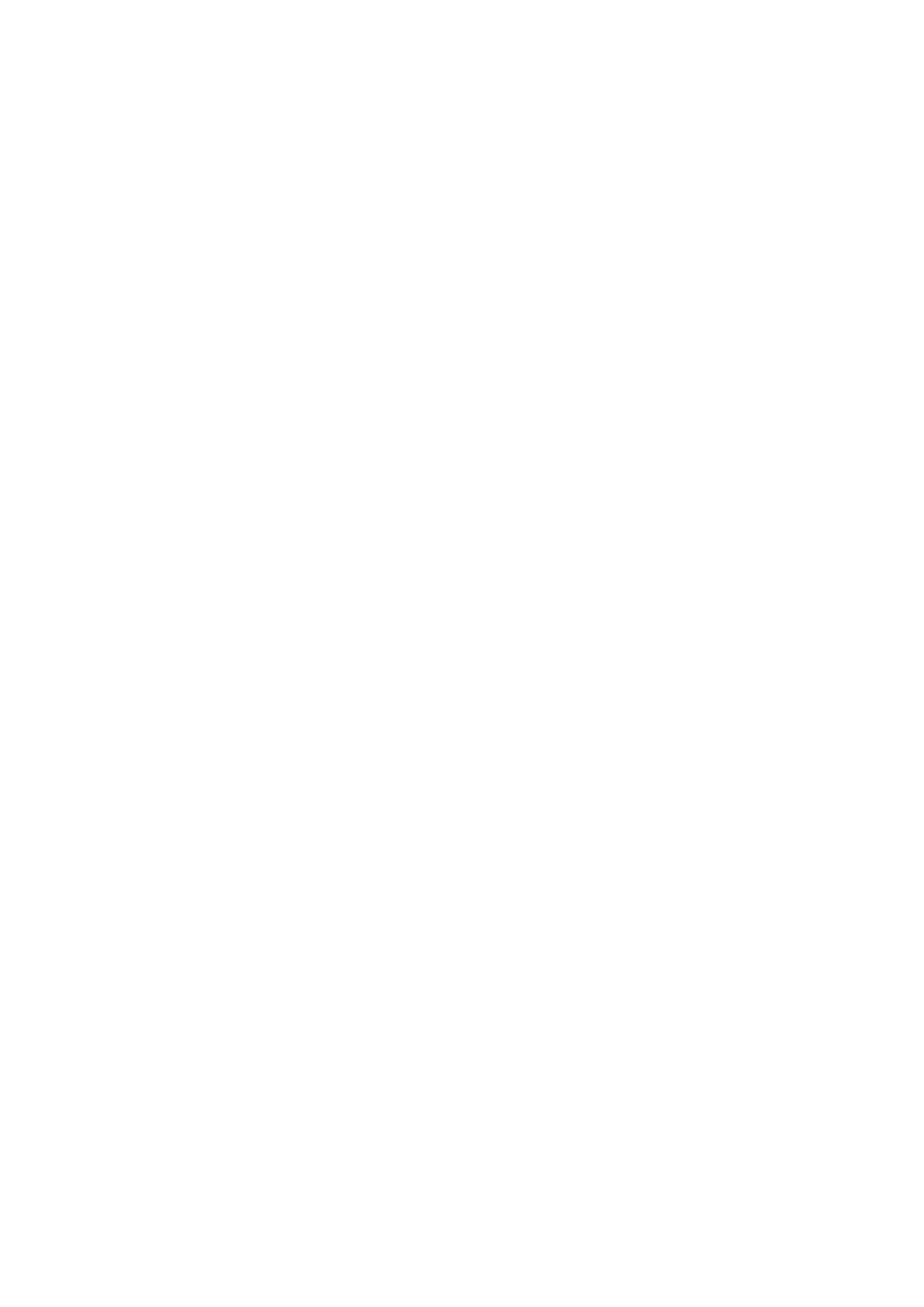<span id="page-9-2"></span>Figure 3. Experimental setup of an optical tweezers system. beam expander expends the laser beam to overfill the aperture of the objective. The beam steering lenses steer the position of the trap in the sample planetic mirror reflects the laser wavelength but transmits the illumination wavelength. also heam is focused by the objective to form the optical trap. The position detector is for back focal plane detection and the camera for imaging.

#### <span id="page-9-0"></span>Trapping laser

The key factors of a trapping laser are single mode output (typically Gaussian TEM mode) good pointing stability and low power fluctuations. Gaussian mode provides the smallest diameter of focused beam waist and veiled to the most efficientiap. Good pointing stability eliminates unexpected splacements of the trap position in the splane. And low power fluctuation gives few temporal variations in the optical trapSolutions for achieving a lower pointing instability usually increasube chance of amplitude fluctuations Both of them bring noises to the system. Many other tastsuch as the output power and the laser wavelength become the criteria of choosing a suitable trapping laser.

The trapping stiffness and the optical forces are determined by the **power of the rapping** laser at the sample ane Generally speang, maximum trapping forces on the order of 1 pN per 10 mW of power delivered to the specimen plane can be achieved with-**scale** beads [3]. For biological studies there are usually many restrictions of the available wather The light need to be able to go through the oelbther environmental medium, and not be absorbed by the proteins or water. This restricts the wavelength  $60-1200$  nm. The optical damage to the biological system and the heating effect to the uned and trapped particle ring more restrictions.Observations show a minimum damage for bacterial cellessoherichia coliat 970 and 830 nm<sup>1</sup> 71. The optical properties of the objective, mirrors and detectors at a certain wavelength are also important factors to be considered. The type of laser and its availability of providing a certain power at a certain wavelength are restrictions from the laser system, and actually often determines the wavelengths of lasers which casede

In practice the mostly often used laser neodymium: yttrium-luminium-garnet (Nd:YAG) laser and its close cousins, neodymium: yttrium -fluoride (Nd:YLF) and neodymium: yttrium-orthovanadate (Nd:YV $\Omega$ . These lasers operate in the nearained region at 1047, 1053, or 1064 nm, which ehave good regarding the strictions Diode pumped versions of these laserare mostly used because they are able to provide point (up to 10 W or even more) and very nice amplitude and pointing stability And due to its structure the heat generating part can be isolated from the trapping system. The main drawback is their high cost.

#### <span id="page-9-1"></span>**Microscope**

As mentioned beforend shown in Figure 3, inverted microscopes with some modifications are used for optical tweezer The modifications involve inserting two dichroic mirrors on both sides of the microscope, separating laser beam intuminating light guiding the beam to the objective and position detector respectively werted microscopes are often preferred because their flexible objective provides stable coupling of the trapping light. It is also easier to extend the microscop to other imaging toolsecause for these cameras the microscope is raight and helps get larger images of the trapped molecule. The mechanical structure of the microscope may bring experimental noise as was discussed before, thereforeefutetheire modificationssuch as using a single objective holder instead of ditating multi-objective holderor using a stable piezoelectric stagreeptional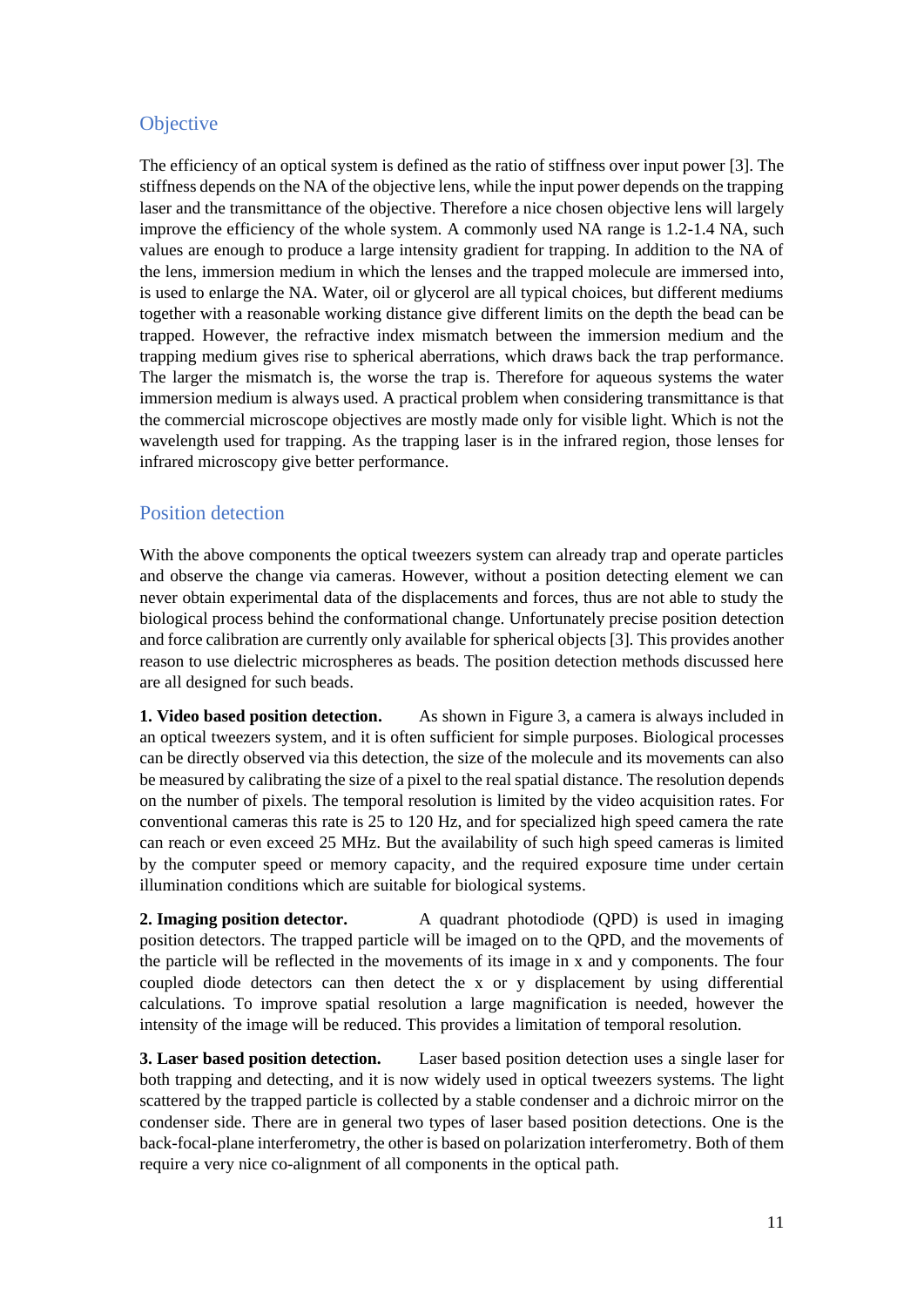#### <span id="page-10-0"></span>**Objective**

The efficiency of an optical system is defined as the ratio of stiffness over input power [3]. The stiffness depends on the NA of the objective lens, while the input power depends on the trapping laser and the transmittance of the objective. Therefore a nice chosen objective lens will largely improve the efficiency of the whole system. A commonly used NA range is 1.2-1.4 NA, such values are enough to produce a large intensity gradient for trapping. In addition to the NA of the lens, immersion medium in which the lenses and the trapped molecule are immersed into, is used to enlarge the NA. Water, oil or glycerol are all typical choices, but different mediums together with a reasonable working distance give different limits on the depth the bead can be trapped. However, the refractive index mismatch between the immersion medium and the trapping medium gives rise to spherical aberrations, which draws back the trap performance. The larger the mismatch is, the worse the trap is. Therefore for aqueous systems the water immersion medium is always used. A practical problem when considering transmittance is that the commercial microscope objectives are mostly made only for visible light. Which is not the wavelength used for trapping. As the trapping laser is in the infrared region, those lenses for infrared microscopy give better performance.

#### <span id="page-10-1"></span>Position detection

With the above components the optical tweezers system can already trap and operate particles and observe the change via cameras. However, without a position detecting element we can never obtain experimental data of the displacements and forces, thus are not able to study the biological process behind the conformational change. Unfortunately precise position detection and force calibration are currently only available for spherical objects [3]. This provides another reason to use dielectric microspheres as beads. The position detection methods discussed here are all designed for such beads.

**1. Video based position detection.** As shown in [Figure 3,](#page-9-2) a camera is always included in an optical tweezers system, and it is often sufficient for simple purposes. Biological processes can be directly observed via this detection, the size of the molecule and its movements can also be measured by calibrating the size of a pixel to the real spatial distance. The resolution depends on the number of pixels. The temporal resolution is limited by the video acquisition rates. For conventional cameras this rate is 25 to 120 Hz, and for specialized high speed camera the rate can reach or even exceed 25 MHz. But the availability of such high speed cameras is limited by the computer speed or memory capacity, and the required exposure time under certain illumination conditions which are suitable for biological systems.

**2. Imaging position detector.** A quadrant photodiode (QPD) is used in imaging position detectors. The trapped particle will be imaged on to the QPD, and the movements of the particle will be reflected in the movements of its image in x and y components. The four coupled diode detectors can then detect the x or y displacement by using differential calculations. To improve spatial resolution a large magnification is needed, however the intensity of the image will be reduced. This provides a limitation of temporal resolution.

**3. Laser based position detection.** Laser based position detection uses a single laser for both trapping and detecting, and it is now widely used in optical tweezers systems. The light scattered by the trapped particle is collected by a stable condenser and a dichroic mirror on the condenser side. There are in general two types of laser based position detections. One is the back-focal-plane interferometry, the other is based on polarization interferometry. Both of them require a very nice co-alignment of all components in the optical path.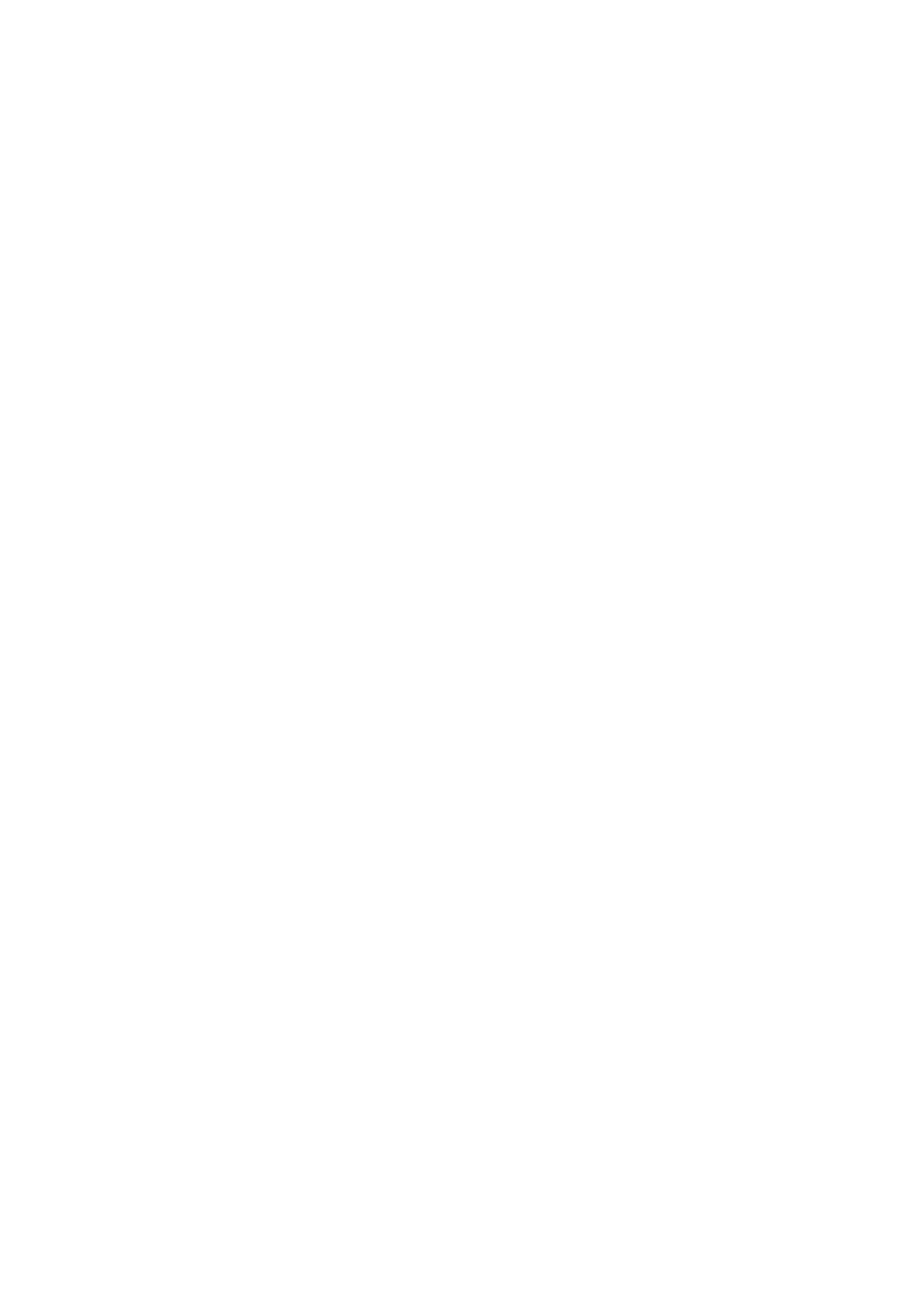As introduced before, the batt cal-plane interferometry depends on the interference between the scattered light and the uscattered lightA QPD is used for monitoring the change of the interference pattern during the movements of the trapped bead. Movements on both x and y directions can be precisely detected.

The polarization interferometry involves the using of two Wollaston prisms, one potitting the incoming plane wave laser beam into two spatially separated orthogonal polarized beams before the trap, another for recombining the two beams after the the trapped particle is deviated from its equilibrium position, it will bring the rent phase shift to the two beams, giving rise to a change of polarization states in the recombined beam. This change can be calibrated by using known displacements and can thus retenise displacement measure results. A shortcoming of this techniquis that it can only reflect movements in one dimension.

4. Axial position detection. A common drawback of the approaches discussed above is that all of them are only able to measure lateral displacement of objects within the sample plane, but not the axial motiont is sufficient for traditional optical tweezers applications. However now optical tweezers have seen much more application in various fields of studies and etecting axial motion becomes a must. A good method for this pose is to detect the total laser intensity in the back focal plane of the condenserate chnique utilizes the property that  $\text{base}$  beam will gain a phase shift  $\text{One}$   $\text{Area}$  and  $\text{Area}$  through the focus, known as the Gouy phase. While the twhich is scattered and did not pass through the focus ZRQ¶W KDYH WKLV SKDVH FKDQJH EXW D SKDVH FKDQJH JDI the scattering particle. Thus the field interferencopattern contains information of the axial position of the bead nd makes it possible for axial position detection. The drawback of this technique is that this axial information may couple to lateral information, and bring uncertainty of both measurements. And unlike for lateral position detectionax the position detection is inversely proportional to the NA of the detector. A compromise must be made if the same detector is used for both lateral and axial detections.

#### <span id="page-11-0"></span>Dynamic control

In real measurements a dynamic control over the tipo and stiffness of the trap is needed. Then we can achieve real time control of the forces applied on the trapped particle, and provide mechanical conditions suitable for the biological systems to be studied. Moreover, if the relaxation time of the rocesses are slower than the reaction time of the dynamic control, one trapped laser can be shared with multiple traps in the same experiment.

Scanning mirrors acoust coptic deflectors (AOD) and electroptic deflectors (EOD) are the three mostly used damic control techniques Scanning mirror uses a mirror on a fast mechanical component to scan the trapping laser to the wanted direction. AOD uses an acousto optic crystal which diffracts light into different orders at different angles, the diffractide ang can be adjusted by an acoustic signal. EOD is similar to an AOD but the controlling signal is electrical. These technique ork under different principles and are controlled by different signals, but they can all deflect the input light to a certain earn of a short switching time.

#### <span id="page-11-1"></span>Piezoelectric stage

Piezoelectric(PZ) stage technique provides an easy way to achieve stable, linear, reproducible, precise positioningin three dimensionsThe stage can move precisely in a certain direction under a contriding electrical signal. The integration of a feedback loop badjust the position precisely in real time and reduce unwanted drifts largely. Since the position is the key parameter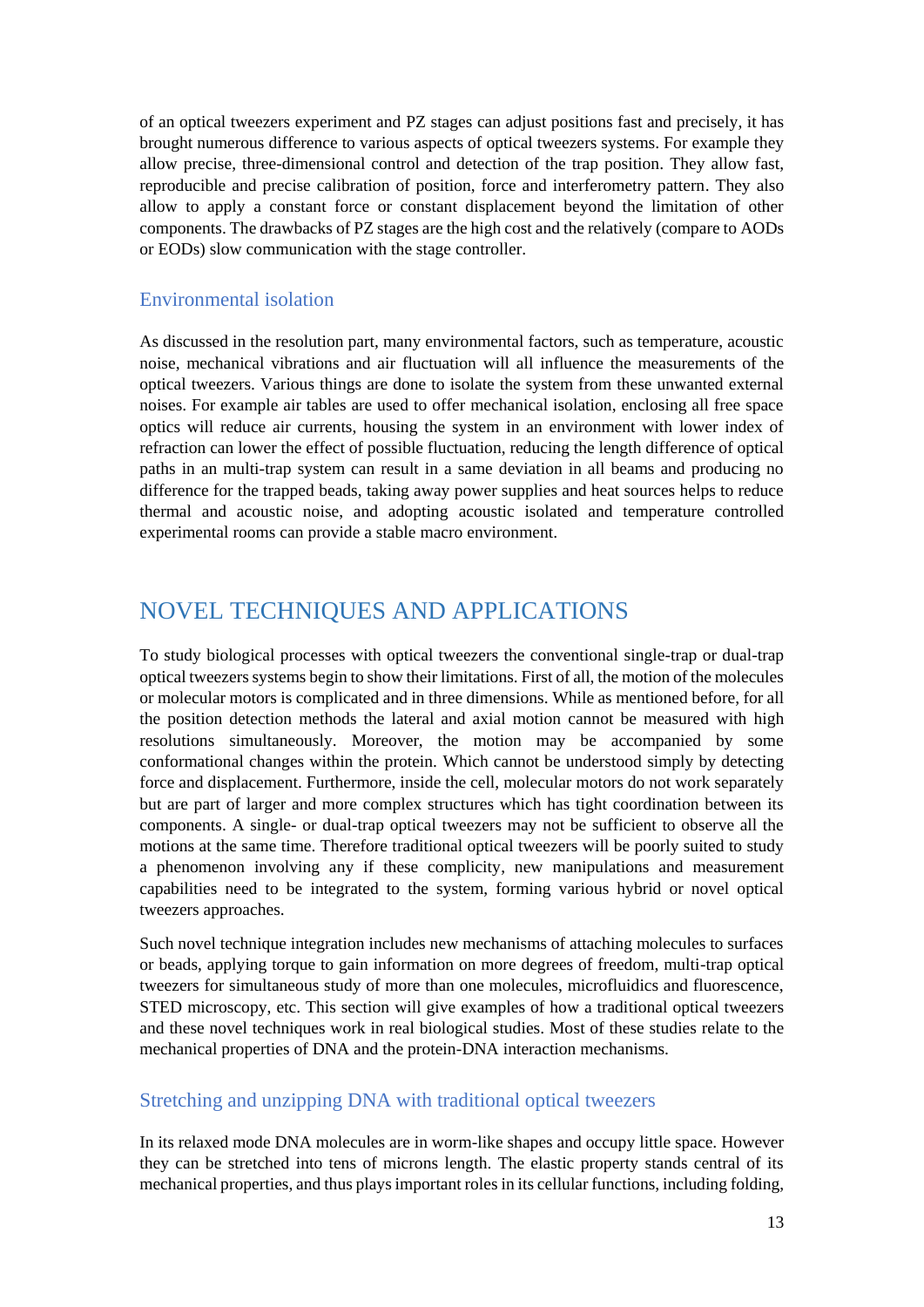of an optical tweezers experiment and PZ stages can adjust positions fast and precisely, it has brought numerous difference to various aspects of optical tweezers systems. For example they allow precise, three-dimensional control and detection of the trap position. They allow fast, reproducible and precise calibration of position, force and interferometry pattern. They also allow to apply a constant force or constant displacement beyond the limitation of other components. The drawbacks of PZ stages are the high cost and the relatively (compare to AODs or EODs) slow communication with the stage controller.

#### <span id="page-12-0"></span>Environmental isolation

As discussed in the resolution part, many environmental factors, such as temperature, acoustic noise, mechanical vibrations and air fluctuation will all influence the measurements of the optical tweezers. Various things are done to isolate the system from these unwanted external noises. For example air tables are used to offer mechanical isolation, enclosing all free space optics will reduce air currents, housing the system in an environment with lower index of refraction can lower the effect of possible fluctuation, reducing the length difference of optical paths in an multi-trap system can result in a same deviation in all beams and producing no difference for the trapped beads, taking away power supplies and heat sources helps to reduce thermal and acoustic noise, and adopting acoustic isolated and temperature controlled experimental rooms can provide a stable macro environment.

## <span id="page-12-1"></span>NOVEL TECHNIQUES AND APPLICATIONS

To study biological processes with optical tweezers the conventional single-trap or dual-trap optical tweezers systems begin to show their limitations. First of all, the motion of the molecules or molecular motors is complicated and in three dimensions. While as mentioned before, for all the position detection methods the lateral and axial motion cannot be measured with high resolutions simultaneously. Moreover, the motion may be accompanied by some conformational changes within the protein. Which cannot be understood simply by detecting force and displacement. Furthermore, inside the cell, molecular motors do not work separately but are part of larger and more complex structures which has tight coordination between its components. A single- or dual-trap optical tweezers may not be sufficient to observe all the motions at the same time. Therefore traditional optical tweezers will be poorly suited to study a phenomenon involving any if these complicity, new manipulations and measurement capabilities need to be integrated to the system, forming various hybrid or novel optical tweezers approaches.

Such novel technique integration includes new mechanisms of attaching molecules to surfaces or beads, applying torque to gain information on more degrees of freedom, multi-trap optical tweezers for simultaneous study of more than one molecules, microfluidics and fluorescence, STED microscopy, etc. This section will give examples of how a traditional optical tweezers and these novel techniques work in real biological studies. Most of these studies relate to the mechanical properties of DNA and the protein-DNA interaction mechanisms.

#### <span id="page-12-2"></span>Stretching and unzipping DNA with traditional optical tweezers

In its relaxed mode DNA molecules are in worm-like shapes and occupy little space. However they can be stretched into tens of microns length. The elastic property stands central of its mechanical properties, and thus plays important roles in its cellular functions, including folding,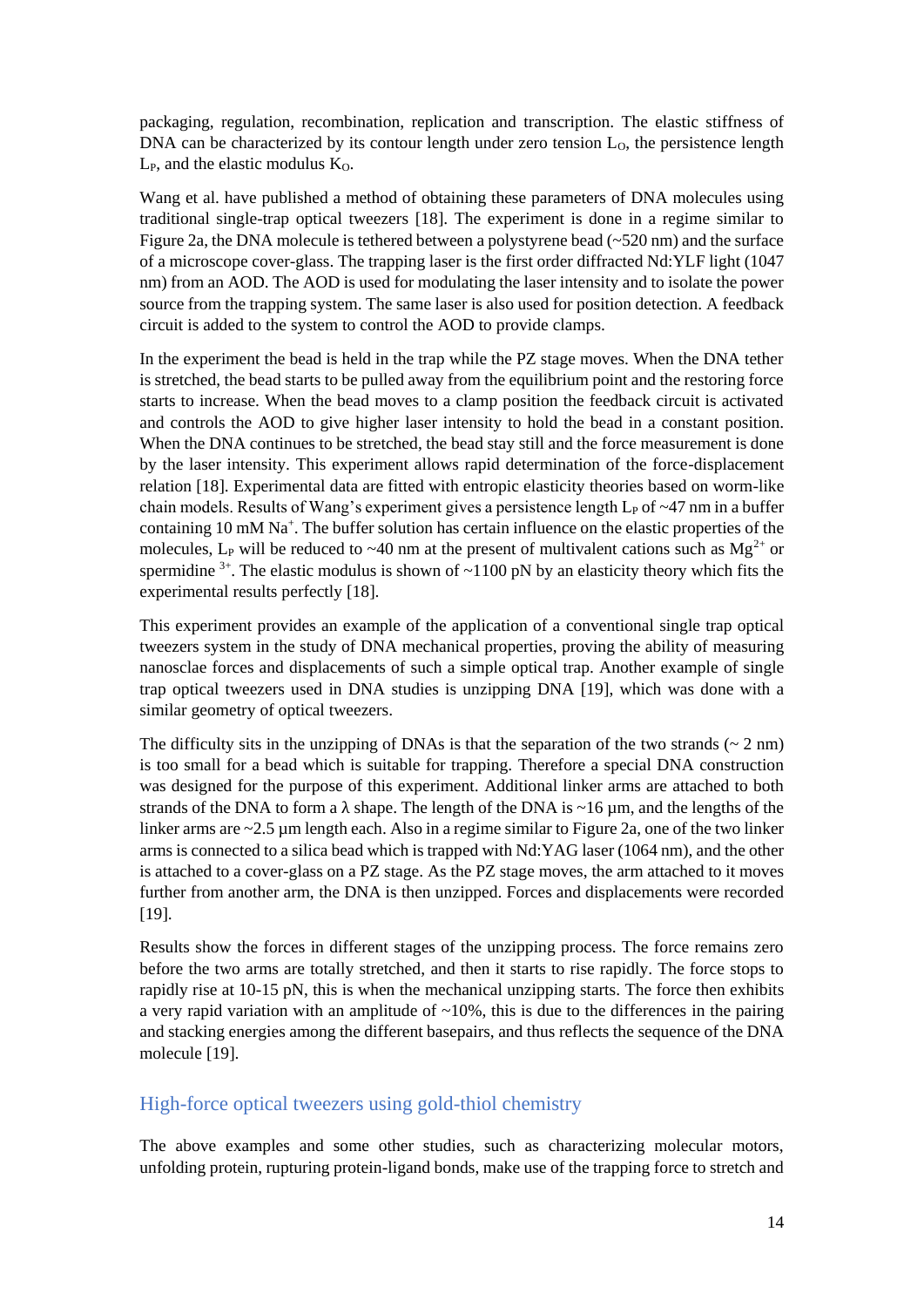packaging, regulation, recombination, replication and transcription. The elastic stiffness of  $DNA$  can be characterized by its contour length under zero tension  $L<sub>0</sub>$ , the persistence length  $L_P$ , and the elastic modulus  $K_O$ .

Wang et al. have published a method of obtaining these parameters of DNA molecules using traditional single-trap optical tweezers [18]. The experiment is done in a regime similar to [Figure 2a](#page-5-1), the DNA molecule is tethered between a polystyrene bead  $(-520 \text{ nm})$  and the surface of a microscope cover-glass. The trapping laser is the first order diffracted Nd:YLF light (1047 nm) from an AOD. The AOD is used for modulating the laser intensity and to isolate the power source from the trapping system. The same laser is also used for position detection. A feedback circuit is added to the system to control the AOD to provide clamps.

In the experiment the bead is held in the trap while the PZ stage moves. When the DNA tether is stretched, the bead starts to be pulled away from the equilibrium point and the restoring force starts to increase. When the bead moves to a clamp position the feedback circuit is activated and controls the AOD to give higher laser intensity to hold the bead in a constant position. When the DNA continues to be stretched, the bead stay still and the force measurement is done by the laser intensity. This experiment allows rapid determination of the force-displacement relation [18]. Experimental data are fitted with entropic elasticity theories based on worm-like chain models. Results of Wang's experiment gives a persistence length  $L_P$  of  $\sim$ 47 nm in a buffer containing 10 mM Na<sup>+</sup>. The buffer solution has certain influence on the elastic properties of the molecules, L<sub>P</sub> will be reduced to ~40 nm at the present of multivalent cations such as  $Mg^{2+}$  or spermidine  $3+$ . The elastic modulus is shown of  $\sim$ 1100 pN by an elasticity theory which fits the experimental results perfectly [18].

This experiment provides an example of the application of a conventional single trap optical tweezers system in the study of DNA mechanical properties, proving the ability of measuring nanosclae forces and displacements of such a simple optical trap. Another example of single trap optical tweezers used in DNA studies is unzipping DNA [19], which was done with a similar geometry of optical tweezers.

The difficulty sits in the unzipping of DNAs is that the separation of the two strands ( $\sim 2$  nm) is too small for a bead which is suitable for trapping. Therefore a special DNA construction was designed for the purpose of this experiment. Additional linker arms are attached to both strands of the DNA to form a  $\lambda$  shape. The length of the DNA is ~16 µm, and the lengths of the linker arms are  $\sim$  2.5 µm length each. Also in a regime similar to [Figure 2a](#page-5-1), one of the two linker arms is connected to a silica bead which is trapped with Nd:YAG laser (1064 nm), and the other is attached to a cover-glass on a PZ stage. As the PZ stage moves, the arm attached to it moves further from another arm, the DNA is then unzipped. Forces and displacements were recorded [19].

Results show the forces in different stages of the unzipping process. The force remains zero before the two arms are totally stretched, and then it starts to rise rapidly. The force stops to rapidly rise at 10-15 pN, this is when the mechanical unzipping starts. The force then exhibits a very rapid variation with an amplitude of  $\sim$ 10%, this is due to the differences in the pairing and stacking energies among the different basepairs, and thus reflects the sequence of the DNA molecule [19].

#### <span id="page-13-0"></span>High-force optical tweezers using gold-thiol chemistry

The above examples and some other studies, such as characterizing molecular motors, unfolding protein, rupturing protein-ligand bonds, make use of the trapping force to stretch and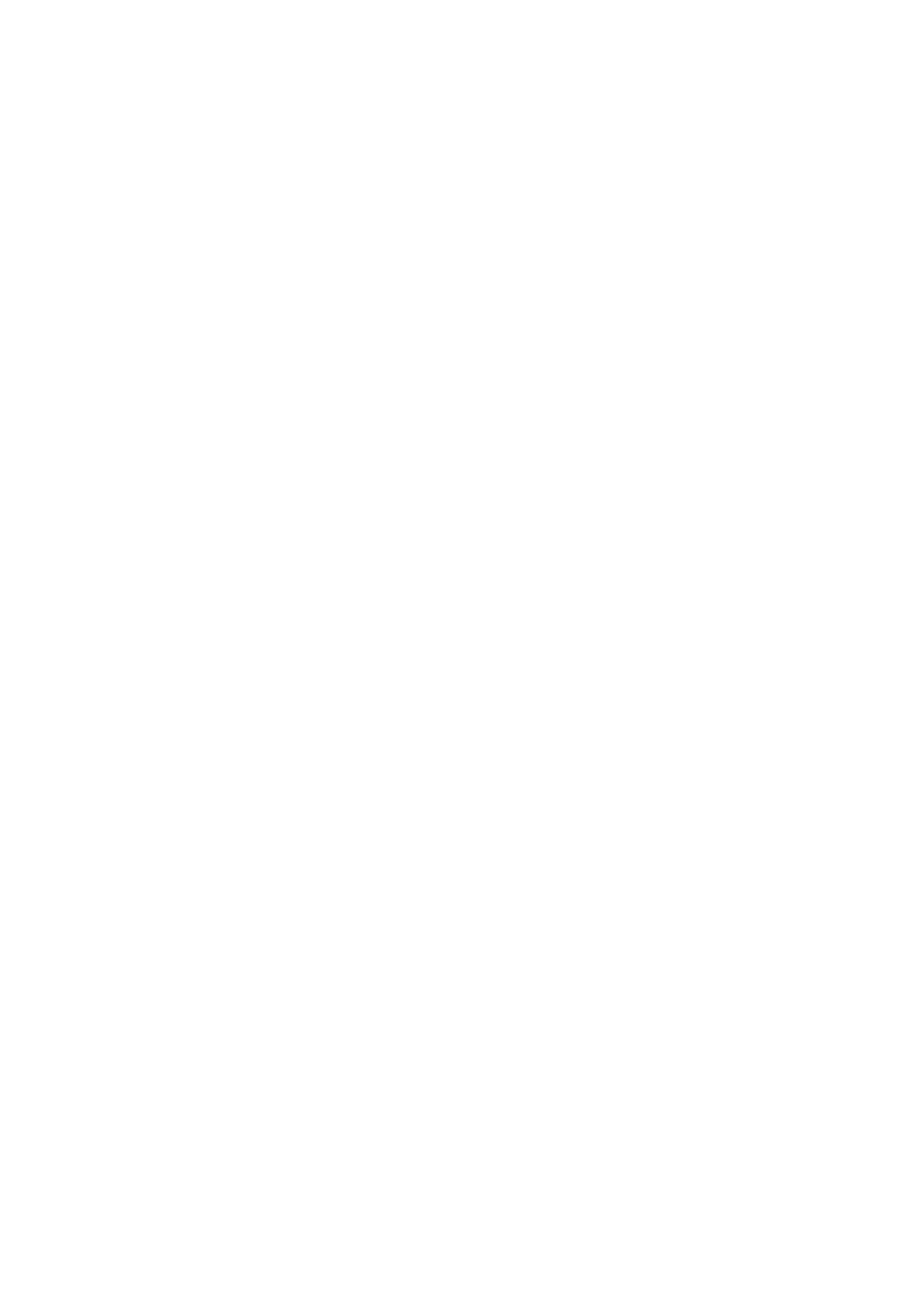pull DNA molecules. The range of such force is typically  $0.01 \text{ mV}$   $\text{mO}$ . These experiments use a similar experimental apparatuiquite 2a) which requires a surface (coverglass) that biomolecules can couple the properties of the surface can thus influence the experimental result. A good surface which can maintain the biological activity of the attached molecule and can minimize unwanted sticking will provide an insurance of the experimental resultGold-thiol chemistryis used to provide better surface and a stronger attachment~1.4 nN)[20]. It was not widely used in previous researches because the gold can be ablated by the trapping lasealik et al. used an array of gold n posts with radius fabout 50-250 nm, leight of about 20 nm to minimize the contact of gold surface with **[20 &** rln their experiment the posts separate from each other at 8 and order to stably anchor the NA to the nanoposts,three repetitions of dithiol phosphoramidite (DTPA) UH XVHG DV WKH  $3JO$ Another end of the DNA molecule is attached to the bead held in an optical trap NA molecule with the DTPA linkers are incubated immately after the nanoposts are deposited, and then the surface is passivated with methoxy ethylene glycol thiol (mPEGSH) to makeit excellently nonstick [20].

In the experiment two lasers were used, a high power ordent 40 at focus) for trapping, a low power one (250 W) for measuring bead position using baokal-plane detectionA simple way to verify that only one DNA molecule is being studied is to check if the fitted persistence length is around 50, not ich is a characteristic figure, also proved in the previous example In their experiment a persistence length 44.6 nmis obtained at moderate force  $(< 10 \text{ pN})$ .

The high forces ( $> 100$  pN), and thus highter power (400 mWare used in studies such as overstetching DNA DNA undergoes a special ructural transition at  $~65$  pN in which its extension increases to 1.7 times of the length under a small force increase pN)[21]. This is another characteristic property and can be used to prove whether a single DNA molecule is under stretching7KLV WUDQVLWLRQ LV DOVR REVHUYHG LQ 3DLN¶V designed to overstretch the DNA molecule till a high force  $(-100)$  however the binding betweenthe bead and the DNA molecule failed unfortunately stopped the experiment

Though failed, the experiment is sufficient to show the strong binding effect brought by the gold-thiol chemistry, at least stronger than timeding between the bead and the DNA molecule. It might be possible to use gold naporticles that have been passivated from laser ablation as beads to achieve a stronger bead A connection.

#### <span id="page-14-0"></span>Torque applied with optical tweezers and DNA under torsion

We have discussed examples stretching DNA molecules in one direction and it is already good enough to show many intrinsic properties of DNA molecules. It is also possible to apply such translation operation in all three dimensions. However, a three dimet translation movement is not all that happens in nature. People have devoted many efforts to use optical tweezers to measure additional degrees of freedom, for example rotations.

Rotatingbiological structures and mearing the associated torque with aptical tweezers apparatus will bring extra information of the tethered moleculastick et al. provided a smart way to do this. Again using the apparatus simila Figure 2a, they attached one end of the dsDNA molecule to flat surface, and another end to a bead made from paramagnetic material. This magnetic bead can rotate while a rotating external field is apples Since the other end of the molecules not able to tate along, the DNA molecule will be under torsion became supercoiled.The authors then determined how the elasticity depended on the Rest ats show that for slightlytwists  $\left($  < 1% change in linking number the contractility of the DNA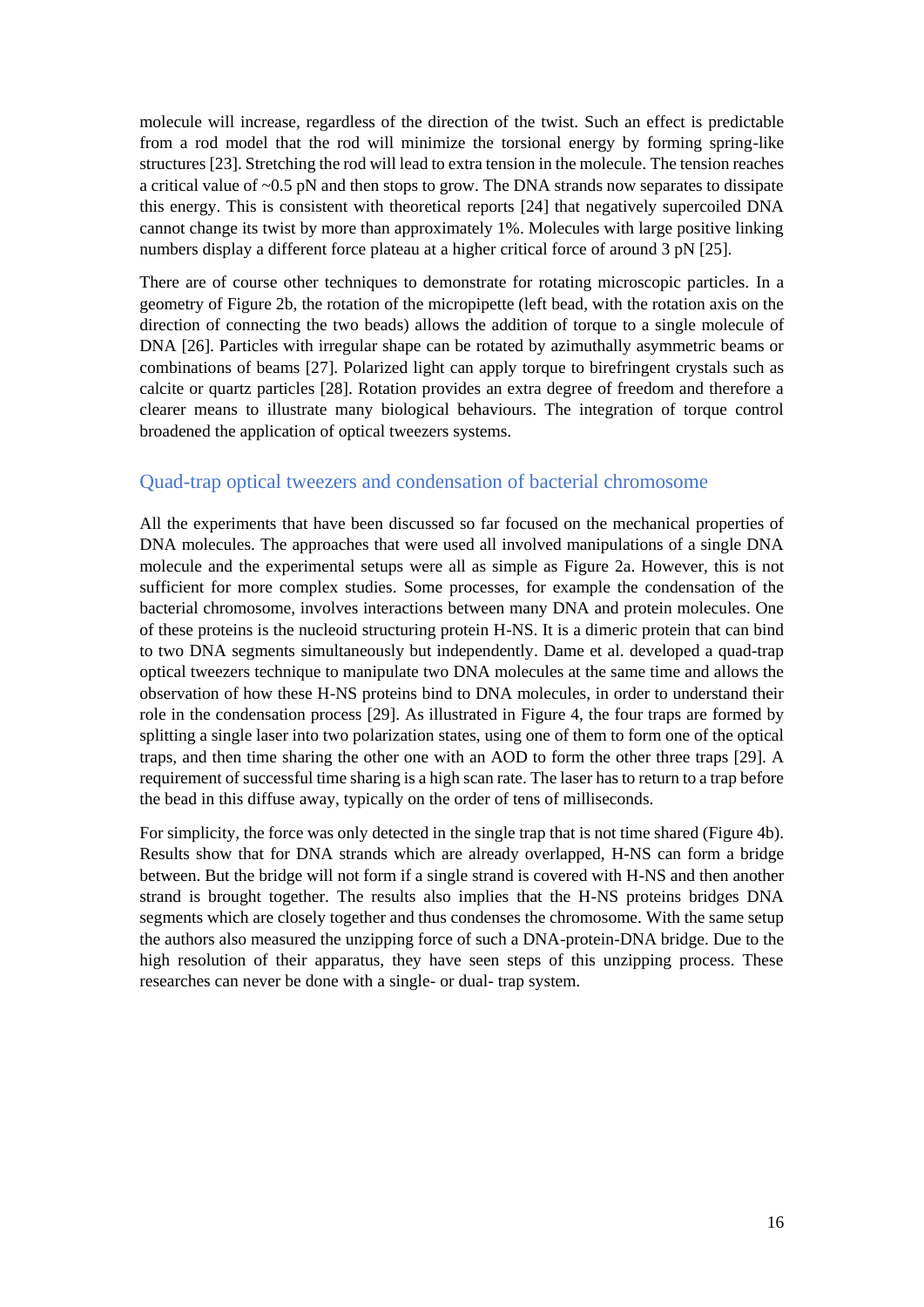molecule will increase, regardless of the direction of the twist. Such an effect is predictable from a rod model that the rod will minimize the torsional energy by forming spring-like structures [23]. Stretching the rod will lead to extra tension in the molecule. The tension reaches a critical value of ~0.5 pN and then stops to grow. The DNA strands now separates to dissipate this energy. This is consistent with theoretical reports [24] that negatively supercoiled DNA cannot change its twist by more than approximately 1%. Molecules with large positive linking numbers display a different force plateau at a higher critical force of around 3 pN [25].

There are of course other techniques to demonstrate for rotating microscopic particles. In a geometry of [Figure 2b](#page-5-1), the rotation of the micropipette (left bead, with the rotation axis on the direction of connecting the two beads) allows the addition of torque to a single molecule of DNA [26]. Particles with irregular shape can be rotated by azimuthally asymmetric beams or combinations of beams [27]. Polarized light can apply torque to birefringent crystals such as calcite or quartz particles [28]. Rotation provides an extra degree of freedom and therefore a clearer means to illustrate many biological behaviours. The integration of torque control broadened the application of optical tweezers systems.

#### <span id="page-15-0"></span>Quad-trap optical tweezers and condensation of bacterial chromosome

All the experiments that have been discussed so far focused on the mechanical properties of DNA molecules. The approaches that were used all involved manipulations of a single DNA molecule and the experimental setups were all as simple as [Figure 2a](#page-5-1). However, this is not sufficient for more complex studies. Some processes, for example the condensation of the bacterial chromosome, involves interactions between many DNA and protein molecules. One of these proteins is the nucleoid structuring protein H-NS. It is a dimeric protein that can bind to two DNA segments simultaneously but independently. Dame et al. developed a quad-trap optical tweezers technique to manipulate two DNA molecules at the same time and allows the observation of how these H-NS proteins bind to DNA molecules, in order to understand their role in the condensation process [29]. As illustrated in [Figure 4,](#page-16-1) the four traps are formed by splitting a single laser into two polarization states, using one of them to form one of the optical traps, and then time sharing the other one with an AOD to form the other three traps [29]. A requirement of successful time sharing is a high scan rate. The laser has to return to a trap before the bead in this diffuse away, typically on the order of tens of milliseconds.

For simplicity, the force was only detected in the single trap that is not time shared [\(Figure 4b](#page-16-1)). Results show that for DNA strands which are already overlapped, H-NS can form a bridge between. But the bridge will not form if a single strand is covered with H-NS and then another strand is brought together. The results also implies that the H-NS proteins bridges DNA segments which are closely together and thus condenses the chromosome. With the same setup the authors also measured the unzipping force of such a DNA-protein-DNA bridge. Due to the high resolution of their apparatus, they have seen steps of this unzipping process. These researches can never be done with a single- or dual- trap system.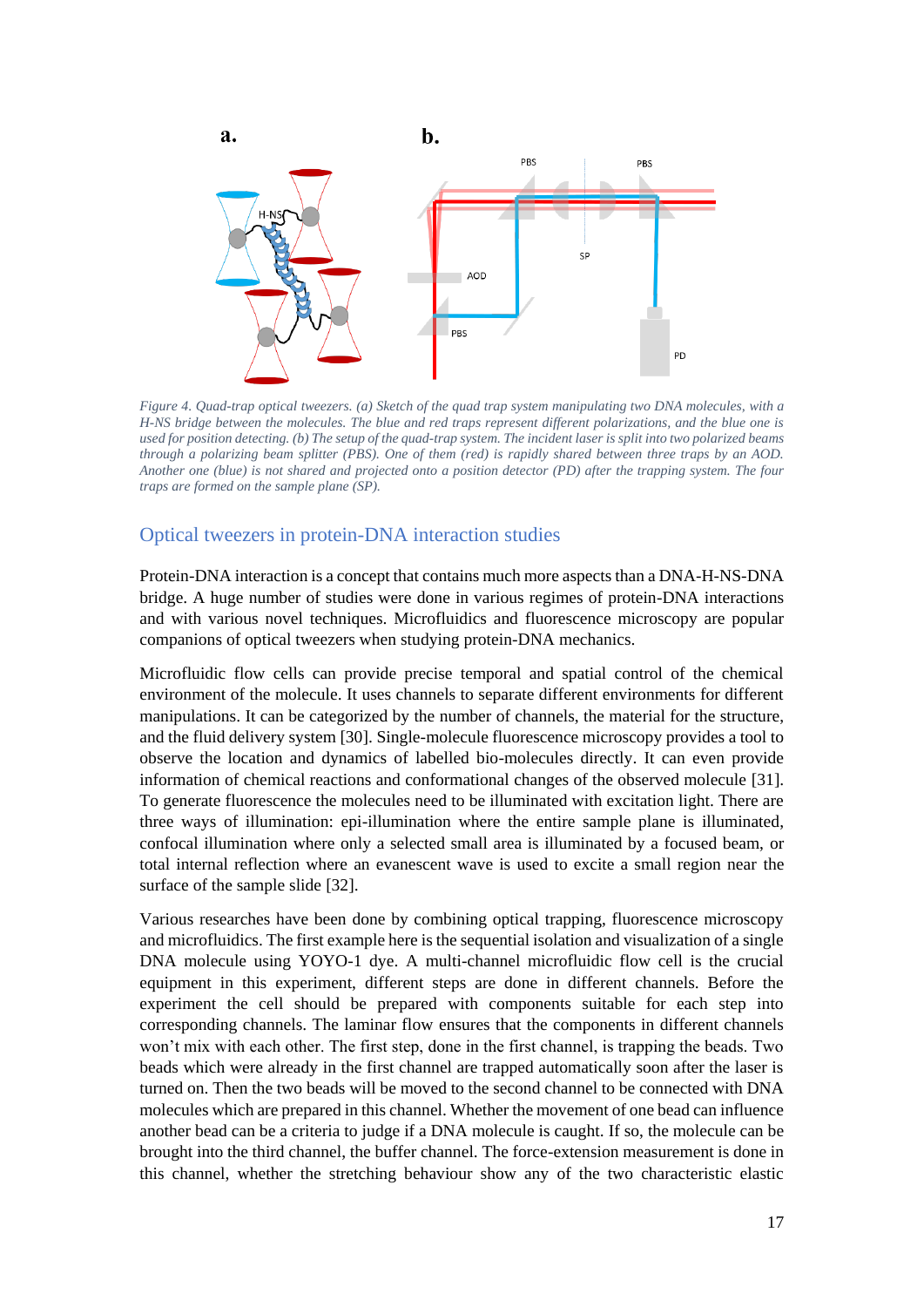

<span id="page-16-1"></span>*Figure 4. Quad-trap optical tweezers. (a) Sketch of the quad trap system manipulating two DNA molecules, with a H-NS bridge between the molecules. The blue and red traps represent different polarizations, and the blue one is used for position detecting. (b) The setup of the quad-trap system. The incident laser is split into two polarized beams through a polarizing beam splitter (PBS). One of them (red) is rapidly shared between three traps by an AOD. Another one (blue) is not shared and projected onto a position detector (PD) after the trapping system. The four traps are formed on the sample plane (SP).*

#### <span id="page-16-0"></span>Optical tweezers in protein-DNA interaction studies

Protein-DNA interaction is a concept that contains much more aspects than a DNA-H-NS-DNA bridge. A huge number of studies were done in various regimes of protein-DNA interactions and with various novel techniques. Microfluidics and fluorescence microscopy are popular companions of optical tweezers when studying protein-DNA mechanics.

Microfluidic flow cells can provide precise temporal and spatial control of the chemical environment of the molecule. It uses channels to separate different environments for different manipulations. It can be categorized by the number of channels, the material for the structure, and the fluid delivery system [30]. Single-molecule fluorescence microscopy provides a tool to observe the location and dynamics of labelled bio-molecules directly. It can even provide information of chemical reactions and conformational changes of the observed molecule [31]. To generate fluorescence the molecules need to be illuminated with excitation light. There are three ways of illumination: epi-illumination where the entire sample plane is illuminated, confocal illumination where only a selected small area is illuminated by a focused beam, or total internal reflection where an evanescent wave is used to excite a small region near the surface of the sample slide [32].

Various researches have been done by combining optical trapping, fluorescence microscopy and microfluidics. The first example here is the sequential isolation and visualization of a single DNA molecule using YOYO-1 dye. A multi-channel microfluidic flow cell is the crucial equipment in this experiment, different steps are done in different channels. Before the experiment the cell should be prepared with components suitable for each step into corresponding channels. The laminar flow ensures that the components in different channels won't mix with each other. The first step, done in the first channel, is trapping the beads. Two beads which were already in the first channel are trapped automatically soon after the laser is turned on. Then the two beads will be moved to the second channel to be connected with DNA molecules which are prepared in this channel. Whether the movement of one bead can influence another bead can be a criteria to judge if a DNA molecule is caught. If so, the molecule can be brought into the third channel, the buffer channel. The force-extension measurement is done in this channel, whether the stretching behaviour show any of the two characteristic elastic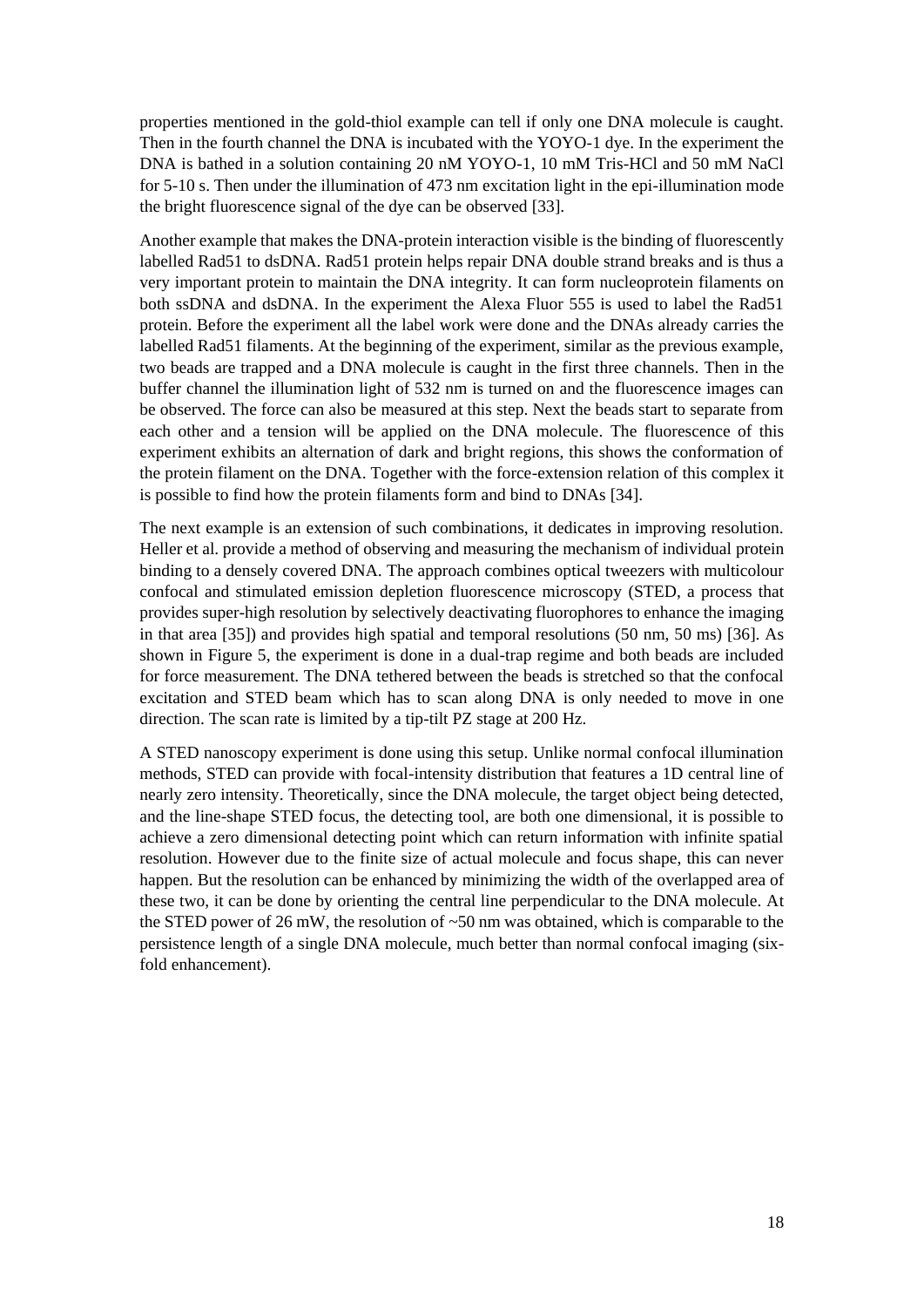properties mentioned in the gold-thiol example can tell if only one DNA molecule is caught. Then in the fourth channel the DNA is incubated with the YOYO-1 dye. In the experiment the DNA is bathed in a solution containing 20 nM YOYO-1, 10 mM Tris-HCl and 50 mM NaCl for 5-10 s. Then under the illumination of 473 nm excitation light in the epi-illumination mode the bright fluorescence signal of the dye can be observed [33].

Another example that makes the DNA-protein interaction visible is the binding of fluorescently labelled Rad51 to dsDNA. Rad51 protein helps repair DNA double strand breaks and is thus a very important protein to maintain the DNA integrity. It can form nucleoprotein filaments on both ssDNA and dsDNA. In the experiment the Alexa Fluor 555 is used to label the Rad51 protein. Before the experiment all the label work were done and the DNAs already carries the labelled Rad51 filaments. At the beginning of the experiment, similar as the previous example, two beads are trapped and a DNA molecule is caught in the first three channels. Then in the buffer channel the illumination light of 532 nm is turned on and the fluorescence images can be observed. The force can also be measured at this step. Next the beads start to separate from each other and a tension will be applied on the DNA molecule. The fluorescence of this experiment exhibits an alternation of dark and bright regions, this shows the conformation of the protein filament on the DNA. Together with the force-extension relation of this complex it is possible to find how the protein filaments form and bind to DNAs [34].

The next example is an extension of such combinations, it dedicates in improving resolution. Heller et al. provide a method of observing and measuring the mechanism of individual protein binding to a densely covered DNA. The approach combines optical tweezers with multicolour confocal and stimulated emission depletion fluorescence microscopy (STED, a process that provides super-high resolution by selectively deactivating fluorophores to enhance the imaging in that area [35]) and provides high spatial and temporal resolutions (50 nm, 50 ms) [36]. As shown in [Figure 5,](#page-18-1) the experiment is done in a dual-trap regime and both beads are included for force measurement. The DNA tethered between the beads is stretched so that the confocal excitation and STED beam which has to scan along DNA is only needed to move in one direction. The scan rate is limited by a tip-tilt PZ stage at 200 Hz.

A STED nanoscopy experiment is done using this setup. Unlike normal confocal illumination methods, STED can provide with focal-intensity distribution that features a 1D central line of nearly zero intensity. Theoretically, since the DNA molecule, the target object being detected, and the line-shape STED focus, the detecting tool, are both one dimensional, it is possible to achieve a zero dimensional detecting point which can return information with infinite spatial resolution. However due to the finite size of actual molecule and focus shape, this can never happen. But the resolution can be enhanced by minimizing the width of the overlapped area of these two, it can be done by orienting the central line perpendicular to the DNA molecule. At the STED power of 26 mW, the resolution of  $\sim$ 50 nm was obtained, which is comparable to the persistence length of a single DNA molecule, much better than normal confocal imaging (sixfold enhancement).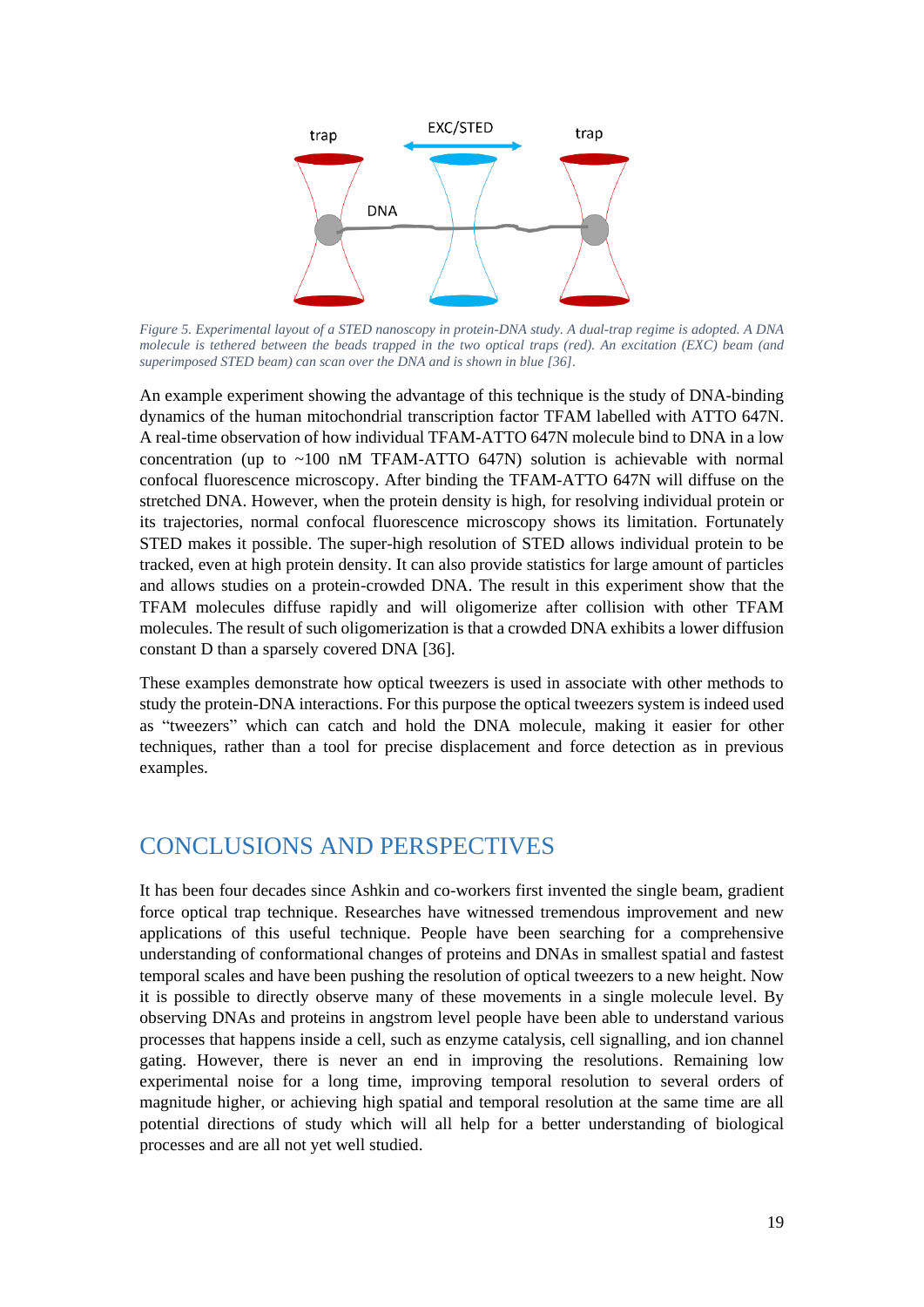

<span id="page-18-1"></span>*Figure 5. Experimental layout of a STED nanoscopy in protein-DNA study. A dual-trap regime is adopted. A DNA molecule is tethered between the beads trapped in the two optical traps (red). An excitation (EXC) beam (and superimposed STED beam) can scan over the DNA and is shown in blue [36].*

An example experiment showing the advantage of this technique is the study of DNA-binding dynamics of the human mitochondrial transcription factor TFAM labelled with ATTO 647N. A real-time observation of how individual TFAM-ATTO 647N molecule bind to DNA in a low concentration (up to  $\sim$ 100 nM TFAM-ATTO 647N) solution is achievable with normal confocal fluorescence microscopy. After binding the TFAM-ATTO 647N will diffuse on the stretched DNA. However, when the protein density is high, for resolving individual protein or its trajectories, normal confocal fluorescence microscopy shows its limitation. Fortunately STED makes it possible. The super-high resolution of STED allows individual protein to be tracked, even at high protein density. It can also provide statistics for large amount of particles and allows studies on a protein-crowded DNA. The result in this experiment show that the TFAM molecules diffuse rapidly and will oligomerize after collision with other TFAM molecules. The result of such oligomerization is that a crowded DNA exhibits a lower diffusion constant D than a sparsely covered DNA [36].

These examples demonstrate how optical tweezers is used in associate with other methods to study the protein-DNA interactions. For this purpose the optical tweezers system is indeed used as "tweezers" which can catch and hold the DNA molecule, making it easier for other techniques, rather than a tool for precise displacement and force detection as in previous examples.

## <span id="page-18-0"></span>CONCLUSIONS AND PERSPECTIVES

It has been four decades since Ashkin and co-workers first invented the single beam, gradient force optical trap technique. Researches have witnessed tremendous improvement and new applications of this useful technique. People have been searching for a comprehensive understanding of conformational changes of proteins and DNAs in smallest spatial and fastest temporal scales and have been pushing the resolution of optical tweezers to a new height. Now it is possible to directly observe many of these movements in a single molecule level. By observing DNAs and proteins in angstrom level people have been able to understand various processes that happens inside a cell, such as enzyme catalysis, cell signalling, and ion channel gating. However, there is never an end in improving the resolutions. Remaining low experimental noise for a long time, improving temporal resolution to several orders of magnitude higher, or achieving high spatial and temporal resolution at the same time are all potential directions of study which will all help for a better understanding of biological processes and are all not yet well studied.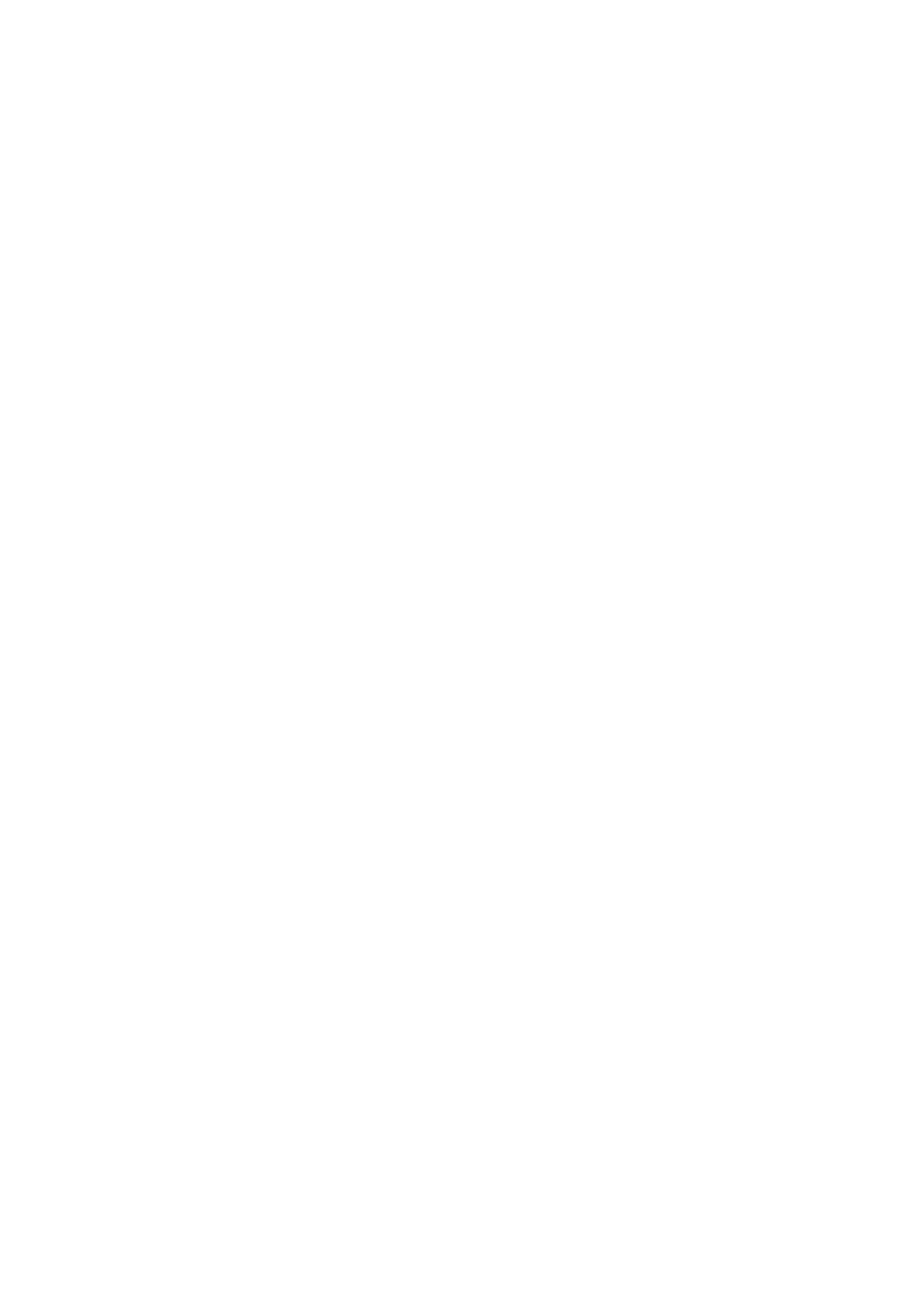Another trend in the advancement of optical tweezers is to combine it with various novel techniques to provide additional adouts, such as force and displacement along complementary axes, to que, and angle, or fluorescence position and orientation and realyse and understand more complex systemethers in combining more advanced physical or chemical methodologies with optical tweezers and find their application in real biologicaly or physical or chemical studies need to be done.

Due to the simplicity of the optical tweezers apparatus, many popular topics, much more than what we have discussed, can be used along with an optical tweezers experiment, forming new combination of probing methods and bring better comprehension of biological processes. example femtosecond laser pulsissa popular tool fospectroscopy for its high peak intensity and nonlinear behavioult has been verified that for large beads (comparable or exception than trapping wavelength) it is the average power rather than the peak power determines the quality of optical trapping [37], Therefore it is possible to use low power femtosecond laser pulses to trap and use its time detaplica for interferometry probing, by adjustingthe light path the time delay can be controlled in nanoseconds or even higher resolution. If applicable, this would bring information of the trapped particle at the very first moment after the change of trapping force and improve the temporal resolution to a new lawelcent research shows that carbon nanotubes can bind to some DNAs, depending on the sequence and **BB** itality An experiment similar to the one unzipping DNAth optical tweezers may help understands which exact basepairs are responsible for this binding. Carbon nanotubes can also be introduced into optical tweezers studies as a DNA selection tool, or other potential applications.

Improvements of the examplexe e riments may also lead to new discoverest example applying torque on the beads. The methods now include one of using polarized light to rotate birefringent particles. The electronic component of the light was used. However the magnetic component, orthe interaction of electronic and magnetic fields may also be capable for this purpose. With the quatdap setup, it is possible to study the roavalent interactions between two DNA molecules, or protein and DNAto understand the mechanism of theiditing and identifying each other. In another example, giblioned chemistry was used to improve high force performance, however the beads failed. This might be improved by adopting the ight chemistry also in the bead sideold can also be replaced the silver, which also bounds with thiols, to study the influence brought by the metal. The thiol molecules are also replaceable.

Other properties of DNA molecules, or other molecules, are new directions to devote into. For example, electronic propertie Conductive beads can be transferred into electrodes so that voltage can be applied on a DNA molecule. The conductivity change of the DNA molecule during stretching can thus be measured pold-thiol chemistry is again involved, by choosing CE conjugated thiol molecules whose electronic status can be changed with external light stimulation, for example change between different resonant structures which have different electronic behaviour, an optical control over the DNA current can be achieved, and the influence on electronic properties from the thiol molecules to the DNA molecanes so be studied.

Today optical tweezers is a mature field, but important technical advances will continue to be made, and more applications will be seen. By a more addinated hybrid techniques with the highest spatial and temporal resolution a brand world of biology will be exposed to us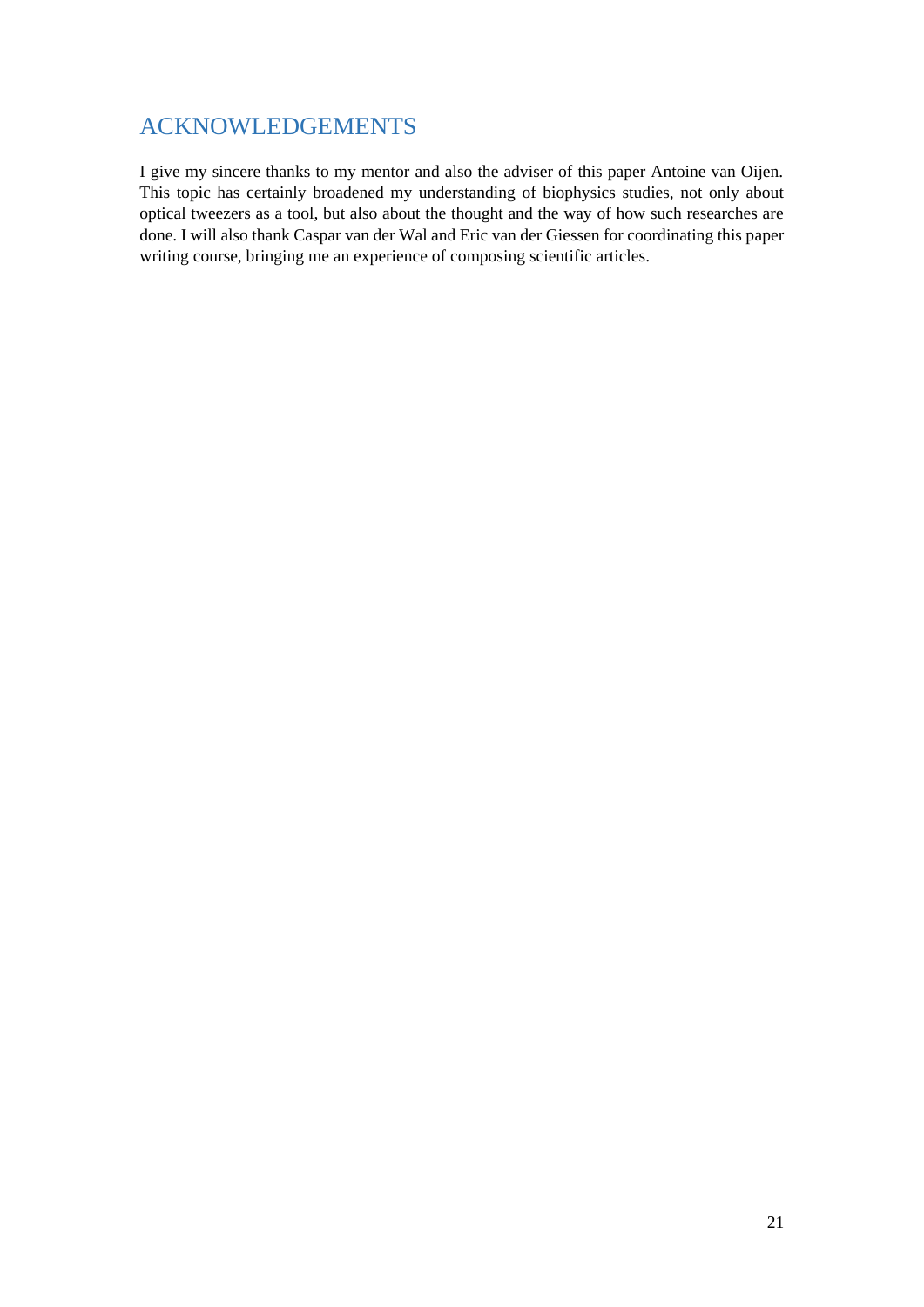# <span id="page-20-0"></span>ACKNOWLEDGEMENTS

I give my sincere thanks to my mentor and also the adviser of this paper Antoine van Oijen. This topic has certainly broadened my understanding of biophysics studies, not only about optical tweezers as a tool, but also about the thought and the way of how such researches are done. I will also thank Caspar van der Wal and Eric van der Giessen for coordinating this paper writing course, bringing me an experience of composing scientific articles.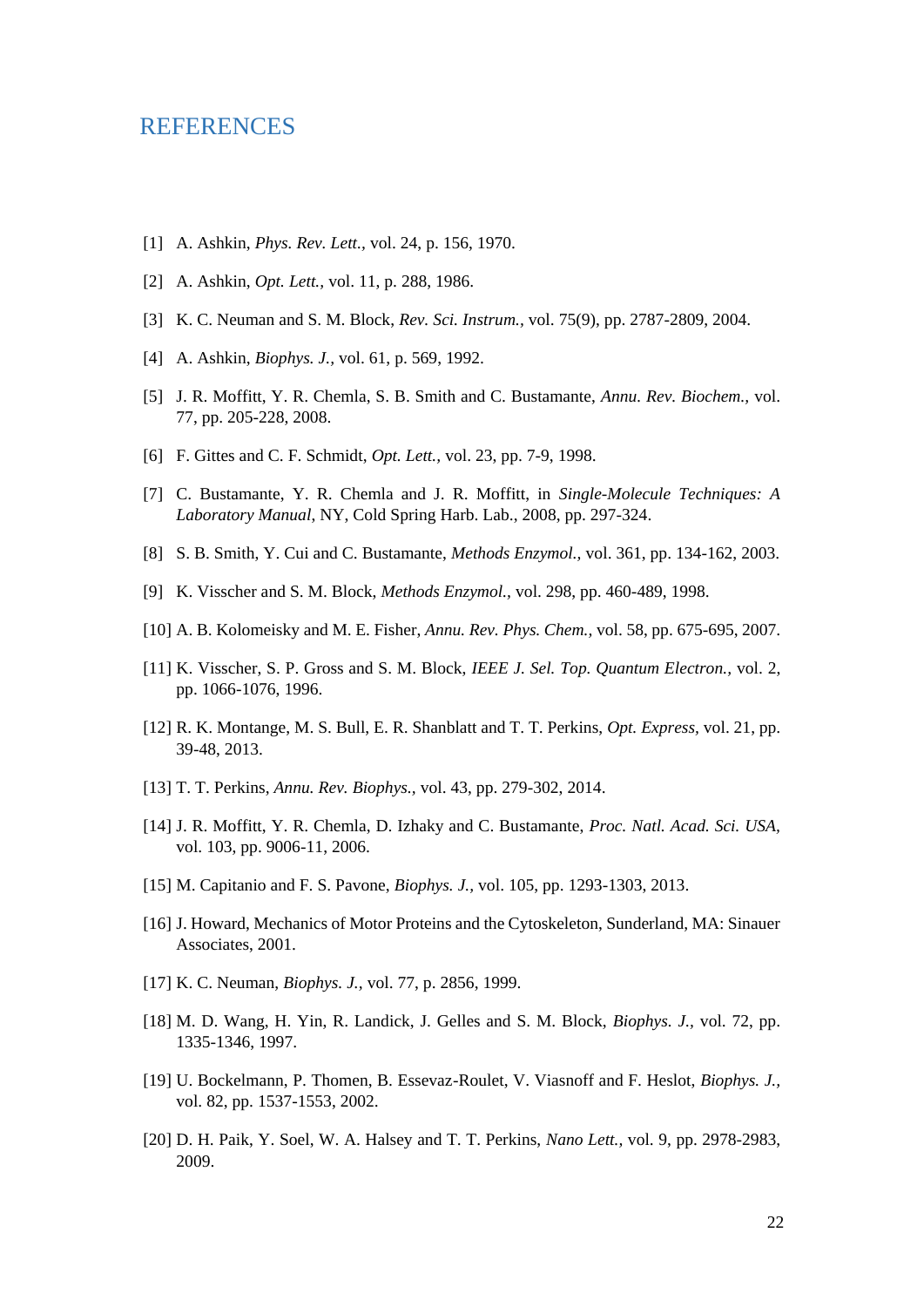#### <span id="page-21-0"></span>REFERENCES

- [1] A. Ashkin, *Phys. Rev. Lett.,* vol. 24, p. 156, 1970.
- [2] A. Ashkin, *Opt. Lett.,* vol. 11, p. 288, 1986.
- [3] K. C. Neuman and S. M. Block, *Rev. Sci. Instrum.,* vol. 75(9), pp. 2787-2809, 2004.
- [4] A. Ashkin, *Biophys. J.,* vol. 61, p. 569, 1992.
- [5] J. R. Moffitt, Y. R. Chemla, S. B. Smith and C. Bustamante, *Annu. Rev. Biochem.,* vol. 77, pp. 205-228, 2008.
- [6] F. Gittes and C. F. Schmidt, *Opt. Lett.,* vol. 23, pp. 7-9, 1998.
- [7] C. Bustamante, Y. R. Chemla and J. R. Moffitt, in *Single-Molecule Techniques: A Laboratory Manual*, NY, Cold Spring Harb. Lab., 2008, pp. 297-324.
- [8] S. B. Smith, Y. Cui and C. Bustamante, *Methods Enzymol.,* vol. 361, pp. 134-162, 2003.
- [9] K. Visscher and S. M. Block, *Methods Enzymol.,* vol. 298, pp. 460-489, 1998.
- [10] A. B. Kolomeisky and M. E. Fisher, *Annu. Rev. Phys. Chem.,* vol. 58, pp. 675-695, 2007.
- [11] K. Visscher, S. P. Gross and S. M. Block, *IEEE J. Sel. Top. Quantum Electron.,* vol. 2, pp. 1066-1076, 1996.
- [12] R. K. Montange, M. S. Bull, E. R. Shanblatt and T. T. Perkins, *Opt. Express,* vol. 21, pp. 39-48, 2013.
- [13] T. T. Perkins, *Annu. Rev. Biophys.,* vol. 43, pp. 279-302, 2014.
- [14] J. R. Moffitt, Y. R. Chemla, D. Izhaky and C. Bustamante, *Proc. Natl. Acad. Sci. USA,*  vol. 103, pp. 9006-11, 2006.
- [15] M. Capitanio and F. S. Pavone, *Biophys. J.,* vol. 105, pp. 1293-1303, 2013.
- [16] J. Howard, Mechanics of Motor Proteins and the Cytoskeleton, Sunderland, MA: Sinauer Associates, 2001.
- [17] K. C. Neuman, *Biophys. J.,* vol. 77, p. 2856, 1999.
- [18] M. D. Wang, H. Yin, R. Landick, J. Gelles and S. M. Block, *Biophys. J.,* vol. 72, pp. 1335-1346, 1997.
- [19] U. Bockelmann, P. Thomen, B. Essevaz-Roulet, V. Viasnoff and F. Heslot, *Biophys. J.,*  vol. 82, pp. 1537-1553, 2002.
- [20] D. H. Paik, Y. Soel, W. A. Halsey and T. T. Perkins, *Nano Lett.,* vol. 9, pp. 2978-2983, 2009.